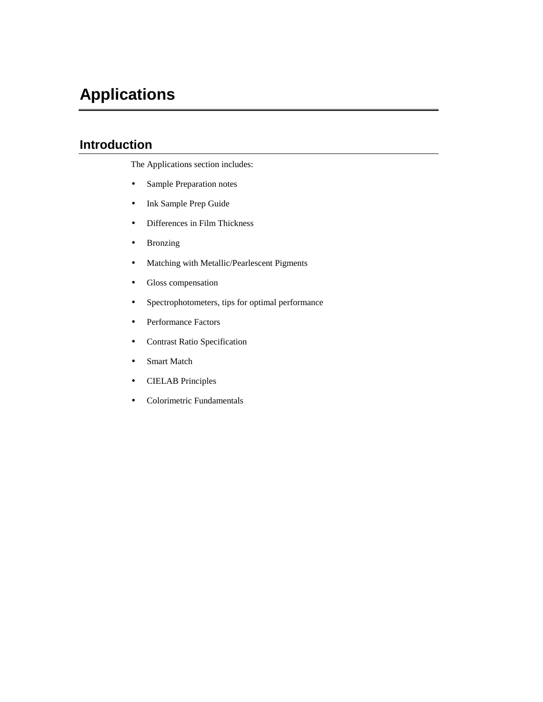# **Applications**

# **Introduction**

The Applications section includes:

- Sample Preparation notes
- Ink Sample Prep Guide
- Differences in Film Thickness
- Bronzing
- Matching with Metallic/Pearlescent Pigments
- Gloss compensation
- Spectrophotometers, tips for optimal performance
- Performance Factors
- Contrast Ratio Specification
- Smart Match
- CIELAB Principles
- Colorimetric Fundamentals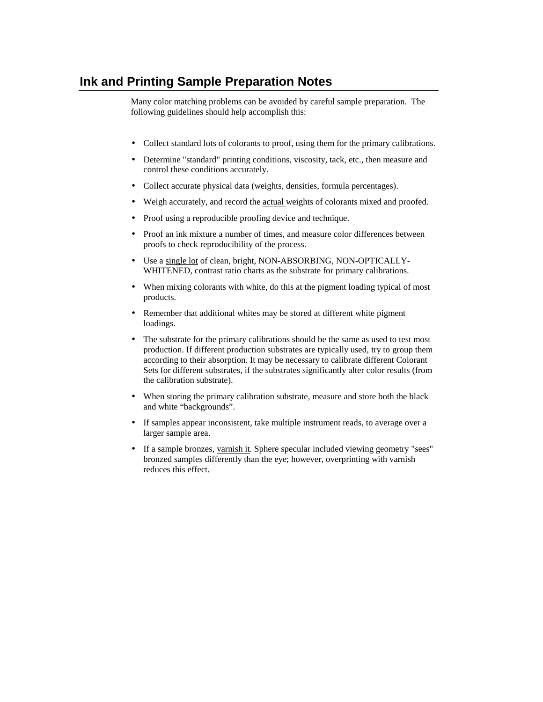## **Ink and Printing Sample Preparation Notes**

Many color matching problems can be avoided by careful sample preparation. The following guidelines should help accomplish this:

- Collect standard lots of colorants to proof, using them for the primary calibrations.
- Determine "standard" printing conditions, viscosity, tack, etc., then measure and control these conditions accurately.
- Collect accurate physical data (weights, densities, formula percentages).
- Weigh accurately, and record the actual weights of colorants mixed and proofed.
- Proof using a reproducible proofing device and technique.
- Proof an ink mixture a number of times, and measure color differences between proofs to check reproducibility of the process.
- Use a single lot of clean, bright, NON-ABSORBING, NON-OPTICALLY-WHITENED, contrast ratio charts as the substrate for primary calibrations.
- When mixing colorants with white, do this at the pigment loading typical of most products.
- Remember that additional whites may be stored at different white pigment loadings.
- The substrate for the primary calibrations should be the same as used to test most production. If different production substrates are typically used, try to group them according to their absorption. It may be necessary to calibrate different Colorant Sets for different substrates, if the substrates significantly alter color results (from the calibration substrate).
- When storing the primary calibration substrate, measure and store both the black and white "backgrounds".
- If samples appear inconsistent, take multiple instrument reads, to average over a larger sample area.
- If a sample bronzes, varnish it. Sphere specular included viewing geometry "sees" bronzed samples differently than the eye; however, overprinting with varnish reduces this effect.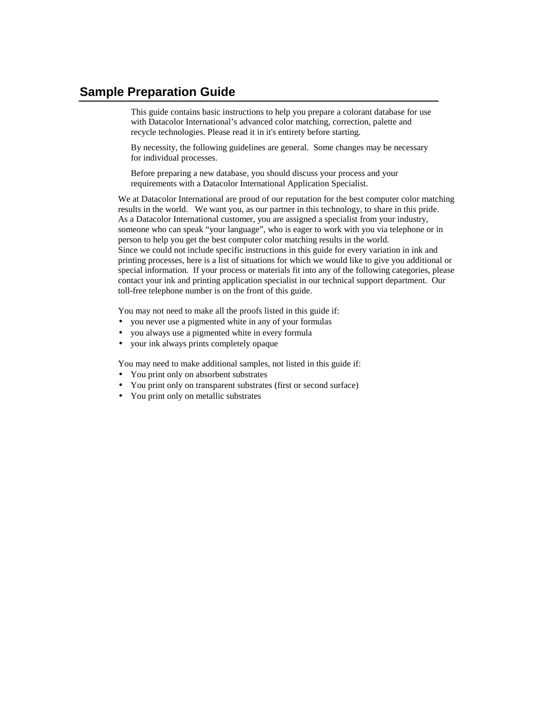## **Sample Preparation Guide**

This guide contains basic instructions to help you prepare a colorant database for use with Datacolor International's advanced color matching, correction, palette and recycle technologies. Please read it in it's entirety before starting.

By necessity, the following guidelines are general. Some changes may be necessary for individual processes.

Before preparing a new database, you should discuss your process and your requirements with a Datacolor International Application Specialist.

We at Datacolor International are proud of our reputation for the best computer color matching results in the world. We want you, as our partner in this technology, to share in this pride. As a Datacolor International customer, you are assigned a specialist from your industry, someone who can speak "your language", who is eager to work with you via telephone or in person to help you get the best computer color matching results in the world. Since we could not include specific instructions in this guide for every variation in ink and printing processes, here is a list of situations for which we would like to give you additional or special information. If your process or materials fit into any of the following categories, please contact your ink and printing application specialist in our technical support department. Our toll-free telephone number is on the front of this guide.

You may not need to make all the proofs listed in this guide if:

- you never use a pigmented white in any of your formulas
- you always use a pigmented white in every formula
- your ink always prints completely opaque

You may need to make additional samples, not listed in this guide if:

- You print only on absorbent substrates
- You print only on transparent substrates (first or second surface)
- You print only on metallic substrates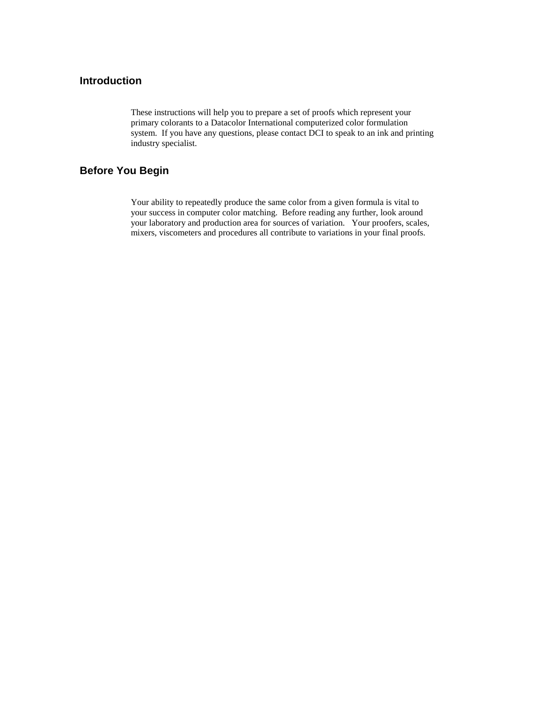### **Introduction**

These instructions will help you to prepare a set of proofs which represent your primary colorants to a Datacolor International computerized color formulation system. If you have any questions, please contact DCI to speak to an ink and printing industry specialist.

### **Before You Begin**

Your ability to repeatedly produce the same color from a given formula is vital to your success in computer color matching. Before reading any further, look around your laboratory and production area for sources of variation. Your proofers, scales, mixers, viscometers and procedures all contribute to variations in your final proofs.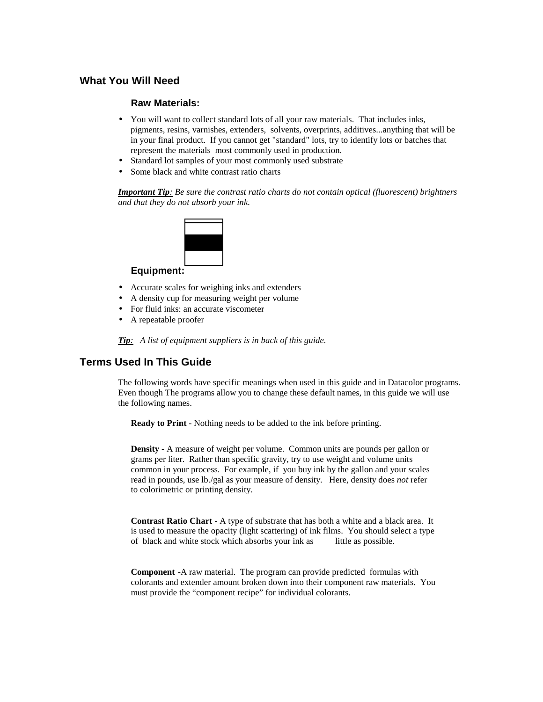### **What You Will Need**

#### **Raw Materials:**

- You will want to collect standard lots of all your raw materials. That includes inks, pigments, resins, varnishes, extenders, solvents, overprints, additives...anything that will be in your final product. If you cannot get "standard" lots, try to identify lots or batches that represent the materials most commonly used in production.
- Standard lot samples of your most commonly used substrate
- Some black and white contrast ratio charts

*Important Tip: Be sure the contrast ratio charts do not contain optical (fluorescent) brightners and that they do not absorb your ink.* 



#### **Equipment:**

- Accurate scales for weighing inks and extenders
- A density cup for measuring weight per volume
- For fluid inks: an accurate viscometer
- A repeatable proofer

*Tip: A list of equipment suppliers is in back of this guide.* 

### **Terms Used In This Guide**

The following words have specific meanings when used in this guide and in Datacolor programs. Even though The programs allow you to change these default names, in this guide we will use the following names.

**Ready to Print** - Nothing needs to be added to the ink before printing.

**Density** - A measure of weight per volume. Common units are pounds per gallon or grams per liter. Rather than specific gravity, try to use weight and volume units common in your process. For example, if you buy ink by the gallon and your scales read in pounds, use lb./gal as your measure of density. Here, density does *not* refer to colorimetric or printing density.

**Contrast Ratio Chart -** A type of substrate that has both a white and a black area. It is used to measure the opacity (light scattering) of ink films. You should select a type of black and white stock which absorbs your ink as little as possible.

**Component** -A raw material. The program can provide predicted formulas with colorants and extender amount broken down into their component raw materials. You must provide the "component recipe" for individual colorants.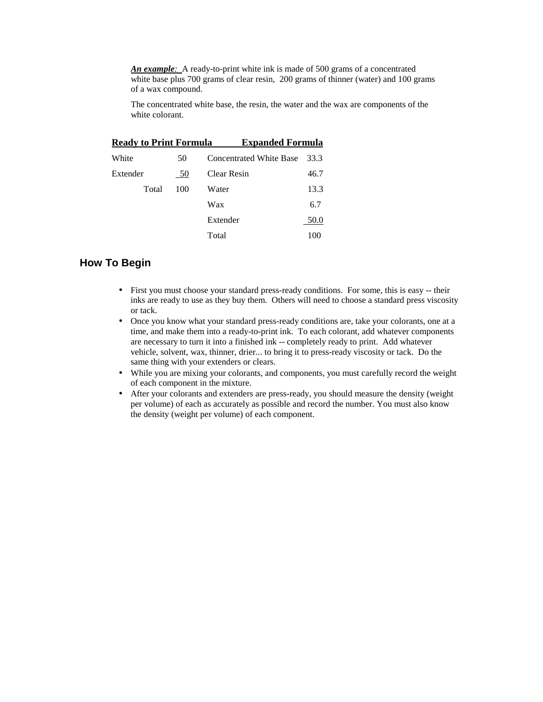*An example:* A ready-to-print white ink is made of 500 grams of a concentrated white base plus 700 grams of clear resin, 200 grams of thinner (water) and 100 grams of a wax compound.

The concentrated white base, the resin, the water and the wax are components of the white colorant.

| <b>Ready to Print Formula</b> |     | <b>Expanded Formula</b>        |      |
|-------------------------------|-----|--------------------------------|------|
| White                         | 50  | <b>Concentrated White Base</b> | 33.3 |
| Extender                      | 50  | Clear Resin                    | 46.7 |
| Total                         | 100 | Water                          | 13.3 |
|                               |     | Wax                            | 6.7  |
|                               |     | Extender                       | 50.0 |
|                               |     | Total                          | 100  |

### **How To Begin**

- First you must choose your standard press-ready conditions. For some, this is easy -- their inks are ready to use as they buy them. Others will need to choose a standard press viscosity or tack.
- Once you know what your standard press-ready conditions are, take your colorants, one at a time, and make them into a ready-to-print ink. To each colorant, add whatever components are necessary to turn it into a finished ink -- completely ready to print. Add whatever vehicle, solvent, wax, thinner, drier... to bring it to press-ready viscosity or tack. Do the same thing with your extenders or clears.
- While you are mixing your colorants, and components, you must carefully record the weight of each component in the mixture.
- After your colorants and extenders are press-ready, you should measure the density (weight per volume) of each as accurately as possible and record the number. You must also know the density (weight per volume) of each component.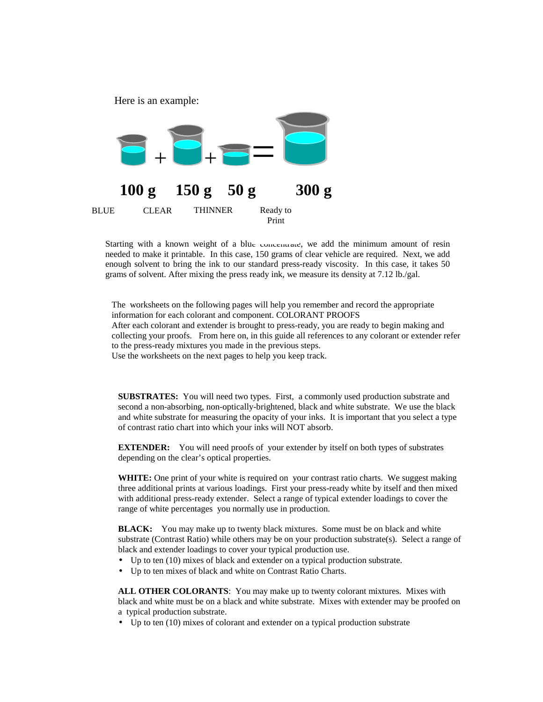

Starting with a known weight of a blue concentrate, we add the minimum amount of resin needed to make it printable. In this case, 150 grams of clear vehicle are required. Next, we add enough solvent to bring the ink to our standard press-ready viscosity. In this case, it takes 50 grams of solvent. After mixing the press ready ink, we measure its density at 7.12 lb./gal.

The worksheets on the following pages will help you remember and record the appropriate information for each colorant and component. COLORANT PROOFS After each colorant and extender is brought to press-ready, you are ready to begin making and collecting your proofs. From here on, in this guide all references to any colorant or extender refer to the press-ready mixtures you made in the previous steps. Use the worksheets on the next pages to help you keep track.

**SUBSTRATES:** You will need two types. First, a commonly used production substrate and second a non-absorbing, non-optically-brightened, black and white substrate. We use the black and white substrate for measuring the opacity of your inks. It is important that you select a type of contrast ratio chart into which your inks will NOT absorb.

**EXTENDER:** You will need proofs of your extender by itself on both types of substrates depending on the clear's optical properties.

WHITE: One print of your white is required on your contrast ratio charts. We suggest making three additional prints at various loadings. First your press-ready white by itself and then mixed with additional press-ready extender. Select a range of typical extender loadings to cover the range of white percentages you normally use in production.

**BLACK:** You may make up to twenty black mixtures. Some must be on black and white substrate (Contrast Ratio) while others may be on your production substrate(s). Select a range of black and extender loadings to cover your typical production use.

- Up to ten (10) mixes of black and extender on a typical production substrate.
- Up to ten mixes of black and white on Contrast Ratio Charts.

**ALL OTHER COLORANTS**: You may make up to twenty colorant mixtures. Mixes with black and white must be on a black and white substrate. Mixes with extender may be proofed on a typical production substrate.

• Up to ten (10) mixes of colorant and extender on a typical production substrate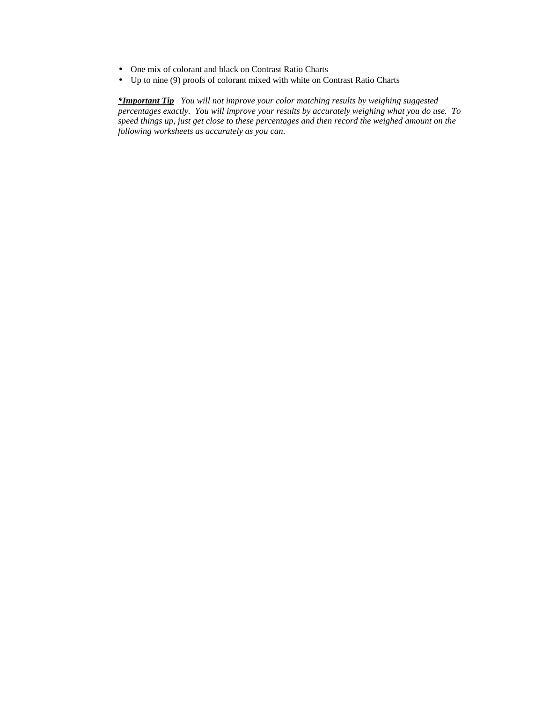- One mix of colorant and black on Contrast Ratio Charts
- Up to nine (9) proofs of colorant mixed with white on Contrast Ratio Charts

*\*Important Tip You will not improve your color matching results by weighing suggested percentages exactly. You will improve your results by accurately weighing what you do use. To speed things up, just get close to these percentages and then record the weighed amount on the following worksheets as accurately as you can.*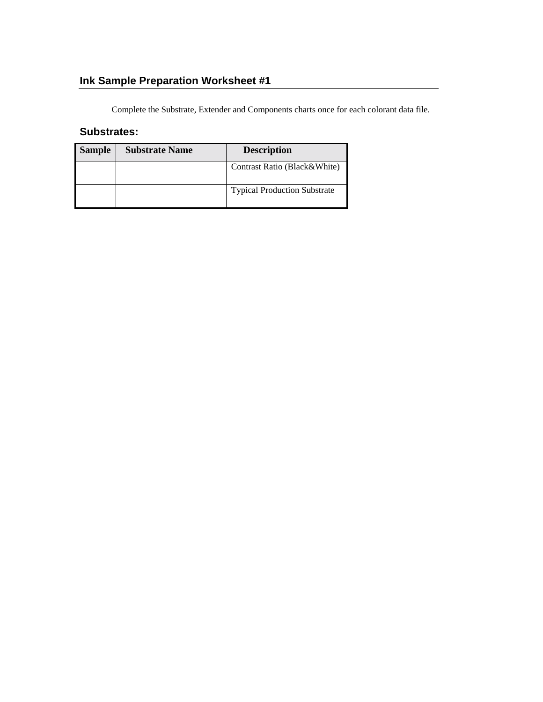# **Ink Sample Preparation Worksheet #1**

Complete the Substrate, Extender and Components charts once for each colorant data file.

### **Substrates:**

| <b>Sample</b> | <b>Substrate Name</b> | <b>Description</b>                  |
|---------------|-----------------------|-------------------------------------|
|               |                       | Contrast Ratio (Black&White)        |
|               |                       | <b>Typical Production Substrate</b> |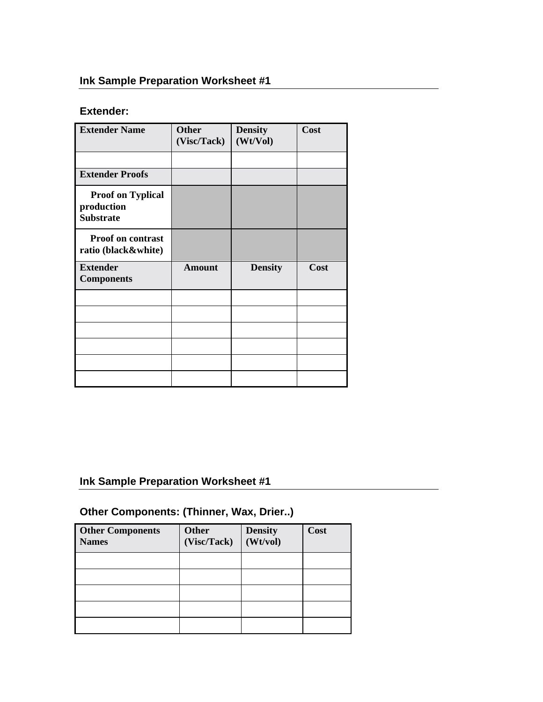## **Ink Sample Preparation Worksheet #1**

## **Extender:**

| <b>Extender Name</b>                                       | <b>Other</b><br>(Visc/Tack) | <b>Density</b><br>(Wt/Vol) | Cost |
|------------------------------------------------------------|-----------------------------|----------------------------|------|
|                                                            |                             |                            |      |
| <b>Extender Proofs</b>                                     |                             |                            |      |
| <b>Proof on Typlical</b><br>production<br><b>Substrate</b> |                             |                            |      |
| <b>Proof on contrast</b><br>ratio (black&white)            |                             |                            |      |
| <b>Extender</b><br><b>Components</b>                       | <b>Amount</b>               | <b>Density</b>             | Cost |
|                                                            |                             |                            |      |
|                                                            |                             |                            |      |
|                                                            |                             |                            |      |
|                                                            |                             |                            |      |
|                                                            |                             |                            |      |
|                                                            |                             |                            |      |

## **Ink Sample Preparation Worksheet #1**

## **Other Components: (Thinner, Wax, Drier..)**

| <b>Other Components</b><br><b>Names</b> | <b>Other</b><br>(Visc/Tack) | <b>Density</b><br>(Wt/vol) | Cost |
|-----------------------------------------|-----------------------------|----------------------------|------|
|                                         |                             |                            |      |
|                                         |                             |                            |      |
|                                         |                             |                            |      |
|                                         |                             |                            |      |
|                                         |                             |                            |      |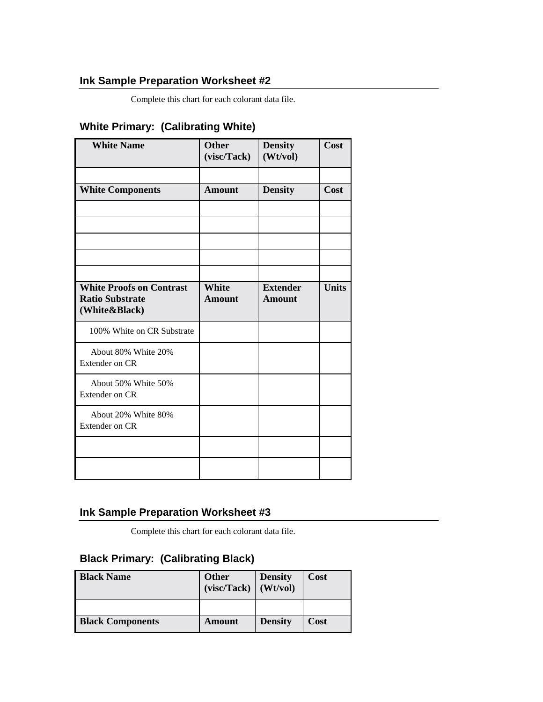## **Ink Sample Preparation Worksheet #2**

Complete this chart for each colorant data file.

## **White Primary: (Calibrating White)**

| <b>White Name</b>                                                          | <b>Other</b><br>(visc/Tack)   | <b>Density</b><br>(Wt/vol)       | Cost         |
|----------------------------------------------------------------------------|-------------------------------|----------------------------------|--------------|
|                                                                            |                               |                                  |              |
| <b>White Components</b>                                                    | Amount                        | <b>Density</b>                   | Cost         |
|                                                                            |                               |                                  |              |
|                                                                            |                               |                                  |              |
|                                                                            |                               |                                  |              |
|                                                                            |                               |                                  |              |
|                                                                            |                               |                                  |              |
| <b>White Proofs on Contrast</b><br><b>Ratio Substrate</b><br>(White&Black) | <b>White</b><br><b>Amount</b> | <b>Extender</b><br><b>Amount</b> | <b>Units</b> |
| 100% White on CR Substrate                                                 |                               |                                  |              |
| About 80% White 20%<br><b>Extender on CR</b>                               |                               |                                  |              |
| About 50% White 50%<br>Extender on CR                                      |                               |                                  |              |
| About 20% White 80%<br><b>Extender on CR</b>                               |                               |                                  |              |
|                                                                            |                               |                                  |              |
|                                                                            |                               |                                  |              |

## **Ink Sample Preparation Worksheet #3**

Complete this chart for each colorant data file.

## **Black Primary: (Calibrating Black)**

| <b>Black Name</b>       | <b>Other</b><br>(visc/Tack) | <b>Density</b><br>(Wt/vol) | Cost |
|-------------------------|-----------------------------|----------------------------|------|
|                         |                             |                            |      |
| <b>Black Components</b> | Amount                      | <b>Density</b>             | Cost |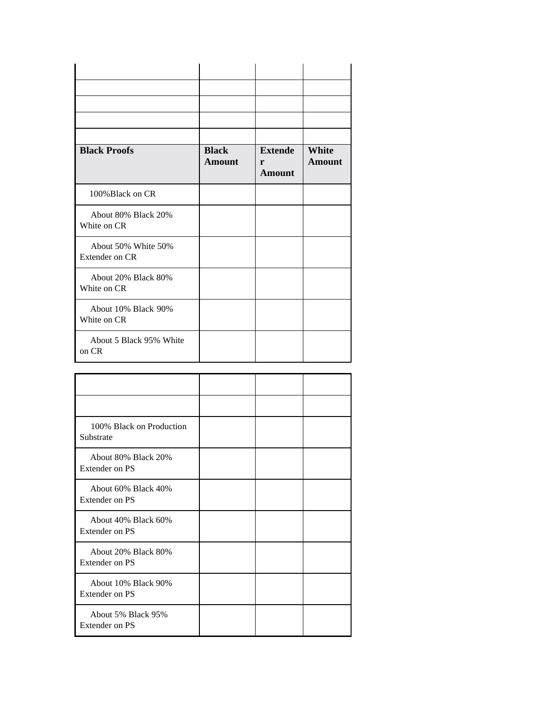| <b>Black Proofs</b>                   | <b>Black</b><br><b>Amount</b> | <b>Extende</b><br>r<br><b>Amount</b> | <b>White</b><br>Amount |
|---------------------------------------|-------------------------------|--------------------------------------|------------------------|
| 100% Black on CR                      |                               |                                      |                        |
| About 80% Black 20%<br>White on CR    |                               |                                      |                        |
| About 50% White 50%<br>Extender on CR |                               |                                      |                        |
| About 20% Black 80%<br>White on CR    |                               |                                      |                        |
| About 10% Black 90%<br>White on CR    |                               |                                      |                        |
| About 5 Black 95% White<br>on CR      |                               |                                      |                        |

| 100% Black on Production<br>Substrate        |  |  |
|----------------------------------------------|--|--|
| About 80% Black 20%<br><b>Extender on PS</b> |  |  |
| About 60% Black 40%<br>Extender on PS        |  |  |
| About 40% Black 60%<br>Extender on PS        |  |  |
| About 20% Black 80%<br>Extender on PS        |  |  |
| About 10% Black 90%<br>Extender on PS        |  |  |
| About 5% Black 95%<br><b>Extender on PS</b>  |  |  |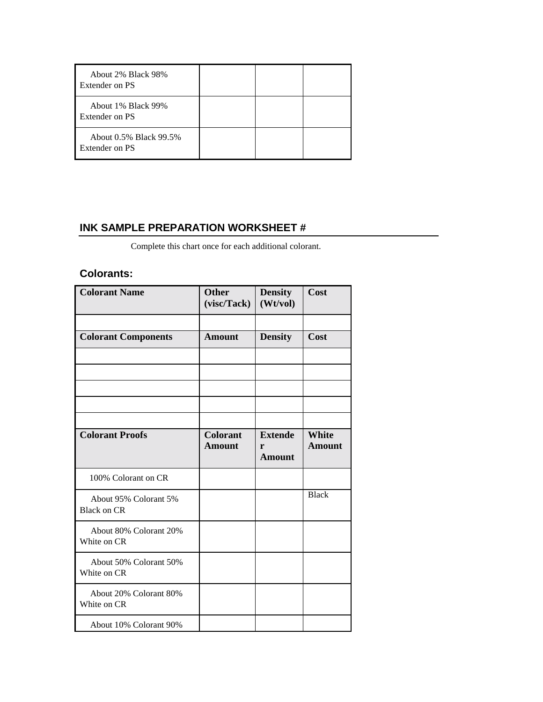| About 2% Black 98%<br>Extender on PS     |  |  |
|------------------------------------------|--|--|
| About 1% Black 99%<br>Extender on PS     |  |  |
| About 0.5% Black 99.5%<br>Extender on PS |  |  |

## **INK SAMPLE PREPARATION WORKSHEET #**

Complete this chart once for each additional colorant.

## **Colorants:**

| <b>Colorant Name</b>                        | <b>Other</b><br>(visc/Tack)      | <b>Density</b><br>(Wt/vol)           | Cost                          |
|---------------------------------------------|----------------------------------|--------------------------------------|-------------------------------|
|                                             |                                  |                                      |                               |
| <b>Colorant Components</b>                  | <b>Amount</b>                    | <b>Density</b>                       | Cost                          |
|                                             |                                  |                                      |                               |
|                                             |                                  |                                      |                               |
|                                             |                                  |                                      |                               |
|                                             |                                  |                                      |                               |
|                                             |                                  |                                      |                               |
| <b>Colorant Proofs</b>                      | <b>Colorant</b><br><b>Amount</b> | <b>Extende</b><br>r<br><b>Amount</b> | <b>White</b><br><b>Amount</b> |
| 100% Colorant on CR                         |                                  |                                      |                               |
| About 95% Colorant 5%<br><b>Black on CR</b> |                                  |                                      | <b>Black</b>                  |
| About 80% Colorant 20%<br>White on CR       |                                  |                                      |                               |
| About 50% Colorant 50%<br>White on CR       |                                  |                                      |                               |
| About 20% Colorant 80%                      |                                  |                                      |                               |
| White on CR                                 |                                  |                                      |                               |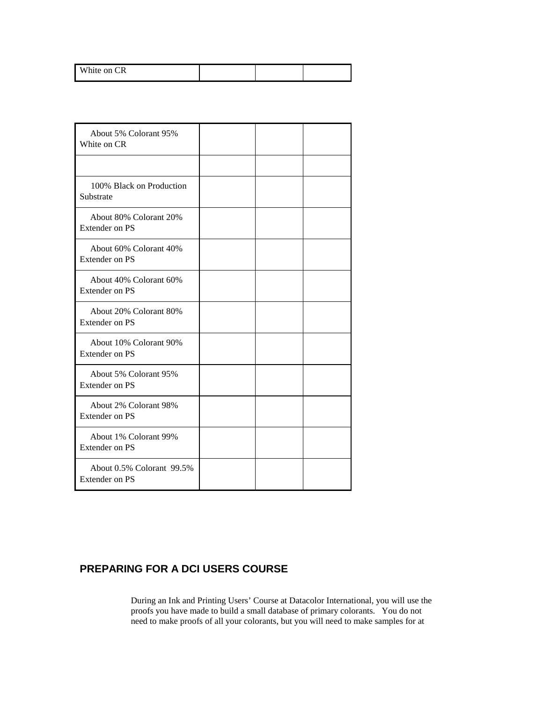|  | <b>CR</b><br>White on C |
|--|-------------------------|
|--|-------------------------|

| About 5% Colorant 95%<br>White on CR               |  |  |
|----------------------------------------------------|--|--|
|                                                    |  |  |
| 100% Black on Production<br>Substrate              |  |  |
| About 80% Colorant 20%<br><b>Extender on PS</b>    |  |  |
| About 60% Colorant 40%<br>Extender on PS           |  |  |
| About 40% Colorant 60%<br><b>Extender on PS</b>    |  |  |
| About 20% Colorant 80%<br><b>Extender on PS</b>    |  |  |
| About 10% Colorant 90%<br>Extender on PS           |  |  |
| About 5% Colorant 95%<br><b>Extender on PS</b>     |  |  |
| About 2% Colorant 98%<br>Extender on PS            |  |  |
| About 1% Colorant 99%<br><b>Extender on PS</b>     |  |  |
| About 0.5% Colorant 99.5%<br><b>Extender on PS</b> |  |  |

## **PREPARING FOR A DCI USERS COURSE**

During an Ink and Printing Users' Course at Datacolor International, you will use the proofs you have made to build a small database of primary colorants. You do not need to make proofs of all your colorants, but you will need to make samples for at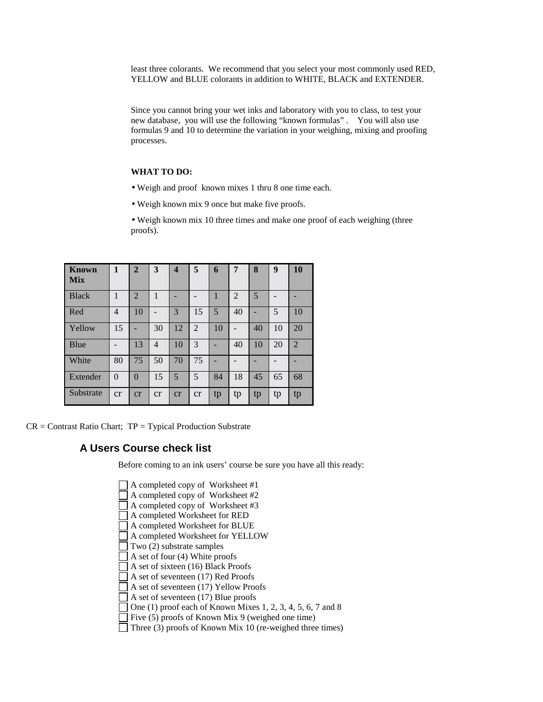least three colorants. We recommend that you select your most commonly used RED, YELLOW and BLUE colorants in addition to WHITE, BLACK and EXTENDER.

Since you cannot bring your wet inks and laboratory with you to class, to test your new database, you will use the following "known formulas" . You will also use formulas 9 and 10 to determine the variation in your weighing, mixing and proofing processes.

#### **WHAT TO DO:**

- Weigh and proof known mixes 1 thru 8 one time each.
- Weigh known mix 9 once but make five proofs.

• Weigh known mix 10 three times and make one proof of each weighing (three proofs).

| Known<br><b>Mix</b> | 1            | $\overline{2}$ | 3            | $\overline{\mathbf{4}}$ | 5              | 6  | 7  | 8  | 9  | 10             |
|---------------------|--------------|----------------|--------------|-------------------------|----------------|----|----|----|----|----------------|
| <b>Black</b>        | $\mathbf{1}$ | 2              | $\mathbf{1}$ |                         |                | 1  | 2  | 5  |    |                |
| Red                 | 4            | 10             |              | 3                       | 15             | 5  | 40 |    | 5  | 10             |
| Yellow              | 15           |                | 30           | 12                      | $\overline{2}$ | 10 |    | 40 | 10 | 20             |
| Blue                |              | 13             | 4            | 10                      | 3              |    | 40 | 10 | 20 | $\overline{2}$ |
| White               | 80           | 75             | 50           | 70                      | 75             |    |    |    |    |                |
| Extender            | $\theta$     | $\Omega$       | 15           | 5                       | 5              | 84 | 18 | 45 | 65 | 68             |
| Substrate           | cr           | cr             | cr           | cr                      | cr             | tp | tp | tp | tp | tp             |

 $CR =$  Contrast Ratio Chart;  $TP =$  Typical Production Substrate

### **A Users Course check list**

Before coming to an ink users' course be sure you have all this ready:

- A completed copy of Worksheet #1 A completed copy of Worksheet #2 A completed copy of Worksheet #3 A completed Worksheet for RED A completed Worksheet for BLUE A completed Worksheet for YELLOW  $\Box$  Two (2) substrate samples  $\Box$  A set of four (4) White proofs A set of sixteen (16) Black Proofs A set of seventeen (17) Red Proofs A set of seventeen (17) Yellow Proofs  $\Box$  A set of seventeen (17) Blue proofs  $\Box$  One (1) proof each of Known Mixes 1, 2, 3, 4, 5, 6, 7 and 8 Five  $(5)$  proofs of Known Mix 9 (weighed one time)
- Three (3) proofs of Known Mix 10 (re-weighed three times)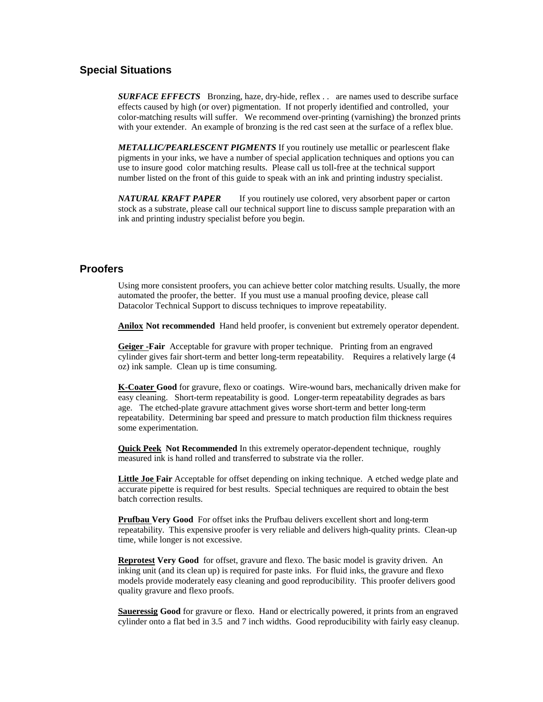### **Special Situations**

*SURFACE EFFECTS* Bronzing, haze, dry-hide, reflex . . are names used to describe surface effects caused by high (or over) pigmentation. If not properly identified and controlled, your color-matching results will suffer. We recommend over-printing (varnishing) the bronzed prints with your extender. An example of bronzing is the red cast seen at the surface of a reflex blue.

*METALLIC/PEARLESCENT PIGMENTS* If you routinely use metallic or pearlescent flake pigments in your inks, we have a number of special application techniques and options you can use to insure good color matching results. Please call us toll-free at the technical support number listed on the front of this guide to speak with an ink and printing industry specialist.

*NATURAL KRAFT PAPER* If you routinely use colored, very absorbent paper or carton stock as a substrate, please call our technical support line to discuss sample preparation with an ink and printing industry specialist before you begin.

### **Proofers**

Using more consistent proofers, you can achieve better color matching results. Usually, the more automated the proofer, the better. If you must use a manual proofing device, please call Datacolor Technical Support to discuss techniques to improve repeatability.

**Anilox Not recommended** Hand held proofer, is convenient but extremely operator dependent.

**Geiger -Fair** Acceptable for gravure with proper technique. Printing from an engraved cylinder gives fair short-term and better long-term repeatability. Requires a relatively large (4 oz) ink sample. Clean up is time consuming.

**K-Coater Good** for gravure, flexo or coatings. Wire-wound bars, mechanically driven make for easy cleaning. Short-term repeatability is good. Longer-term repeatability degrades as bars age. The etched-plate gravure attachment gives worse short-term and better long-term repeatability. Determining bar speed and pressure to match production film thickness requires some experimentation.

**Quick Peek Not Recommended** In this extremely operator-dependent technique, roughly measured ink is hand rolled and transferred to substrate via the roller.

**Little Joe Fair** Acceptable for offset depending on inking technique. A etched wedge plate and accurate pipette is required for best results. Special techniques are required to obtain the best batch correction results.

**Prufbau Very Good** For offset inks the Prufbau delivers excellent short and long-term repeatability. This expensive proofer is very reliable and delivers high-quality prints. Clean-up time, while longer is not excessive.

**Reprotest Very Good** for offset, gravure and flexo. The basic model is gravity driven. An inking unit (and its clean up) is required for paste inks. For fluid inks, the gravure and flexo models provide moderately easy cleaning and good reproducibility. This proofer delivers good quality gravure and flexo proofs.

**Saueressig Good** for gravure or flexo. Hand or electrically powered, it prints from an engraved cylinder onto a flat bed in 3.5 and 7 inch widths. Good reproducibility with fairly easy cleanup.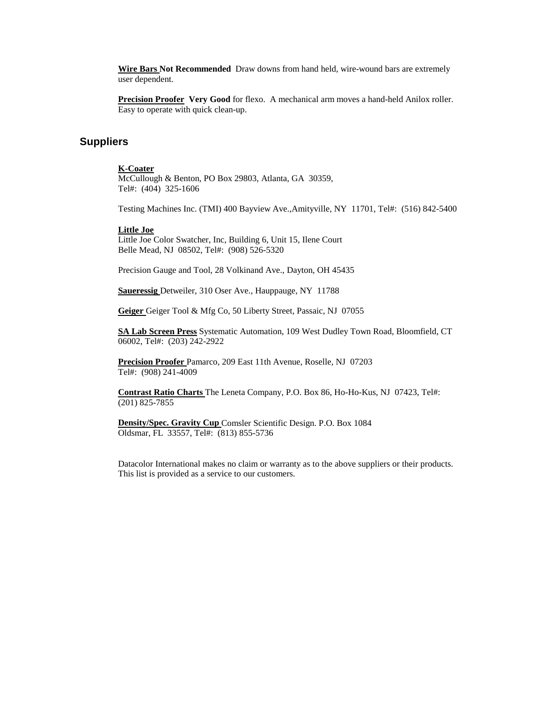**Wire Bars Not Recommended** Draw downs from hand held, wire-wound bars are extremely user dependent.

**Precision Proofer Very Good** for flexo. A mechanical arm moves a hand-held Anilox roller. Easy to operate with quick clean-up.

### **Suppliers**

#### **K-Coater**

McCullough & Benton, PO Box 29803, Atlanta, GA 30359, Tel#: (404) 325-1606

Testing Machines Inc. (TMI) 400 Bayview Ave.,Amityville, NY 11701, Tel#: (516) 842-5400

#### **Little Joe**

Little Joe Color Swatcher, Inc, Building 6, Unit 15, Ilene Court Belle Mead, NJ 08502, Tel#: (908) 526-5320

Precision Gauge and Tool, 28 Volkinand Ave., Dayton, OH 45435

**Saueressig** Detweiler, 310 Oser Ave., Hauppauge, NY 11788

**Geiger** Geiger Tool & Mfg Co, 50 Liberty Street, Passaic, NJ 07055

**SA Lab Screen Press** Systematic Automation, 109 West Dudley Town Road, Bloomfield, CT 06002, Tel#: (203) 242-2922

**Precision Proofer** Pamarco, 209 East 11th Avenue, Roselle, NJ 07203 Tel#: (908) 241-4009

**Contrast Ratio Charts** The Leneta Company, P.O. Box 86, Ho-Ho-Kus, NJ 07423, Tel#: (201) 825-7855

**Density/Spec. Gravity Cup** Comsler Scientific Design. P.O. Box 1084 Oldsmar, FL 33557, Tel#: (813) 855-5736

Datacolor International makes no claim or warranty as to the above suppliers or their products. This list is provided as a service to our customers.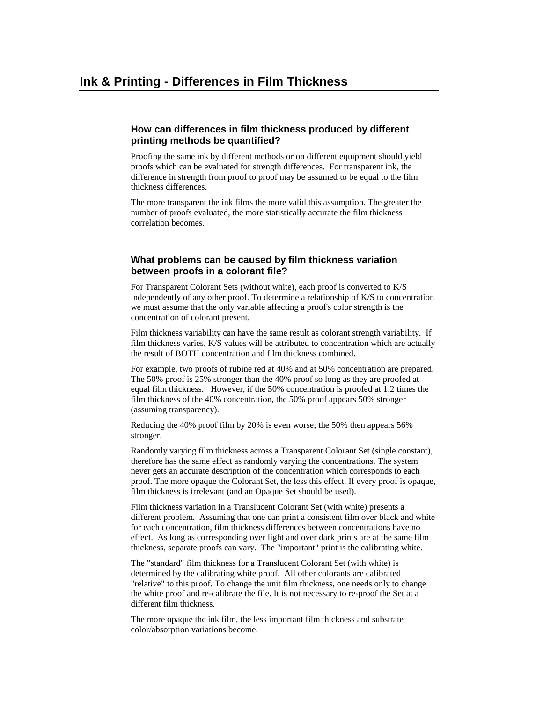#### **How can differences in film thickness produced by different printing methods be quantified?**

Proofing the same ink by different methods or on different equipment should yield proofs which can be evaluated for strength differences. For transparent ink, the difference in strength from proof to proof may be assumed to be equal to the film thickness differences.

The more transparent the ink films the more valid this assumption. The greater the number of proofs evaluated, the more statistically accurate the film thickness correlation becomes.

#### **What problems can be caused by film thickness variation between proofs in a colorant file?**

For Transparent Colorant Sets (without white), each proof is converted to K/S independently of any other proof. To determine a relationship of K/S to concentration we must assume that the only variable affecting a proof's color strength is the concentration of colorant present.

Film thickness variability can have the same result as colorant strength variability. If film thickness varies, K/S values will be attributed to concentration which are actually the result of BOTH concentration and film thickness combined.

For example, two proofs of rubine red at 40% and at 50% concentration are prepared. The 50% proof is 25% stronger than the 40% proof so long as they are proofed at equal film thickness. However, if the 50% concentration is proofed at 1.2 times the film thickness of the 40% concentration, the 50% proof appears 50% stronger (assuming transparency).

Reducing the 40% proof film by 20% is even worse; the 50% then appears 56% stronger.

Randomly varying film thickness across a Transparent Colorant Set (single constant), therefore has the same effect as randomly varying the concentrations. The system never gets an accurate description of the concentration which corresponds to each proof. The more opaque the Colorant Set, the less this effect. If every proof is opaque, film thickness is irrelevant (and an Opaque Set should be used).

Film thickness variation in a Translucent Colorant Set (with white) presents a different problem. Assuming that one can print a consistent film over black and white for each concentration, film thickness differences between concentrations have no effect. As long as corresponding over light and over dark prints are at the same film thickness, separate proofs can vary. The "important" print is the calibrating white.

The "standard" film thickness for a Translucent Colorant Set (with white) is determined by the calibrating white proof. All other colorants are calibrated "relative" to this proof. To change the unit film thickness, one needs only to change the white proof and re-calibrate the file. It is not necessary to re-proof the Set at a different film thickness.

The more opaque the ink film, the less important film thickness and substrate color/absorption variations become.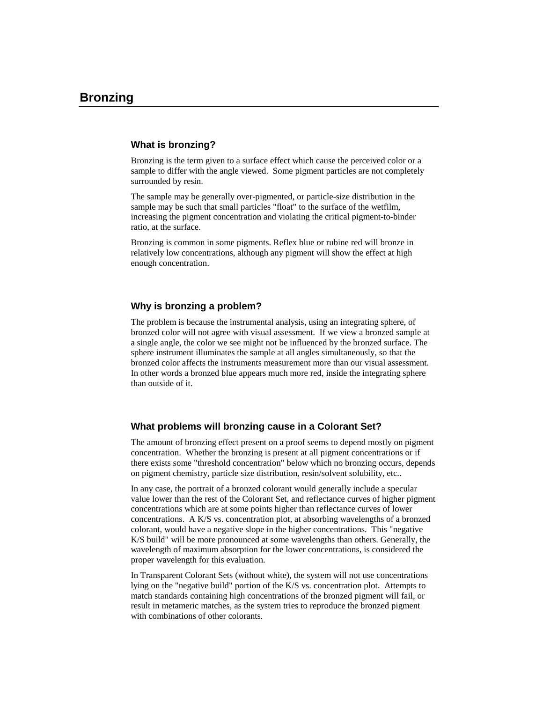#### **What is bronzing?**

Bronzing is the term given to a surface effect which cause the perceived color or a sample to differ with the angle viewed. Some pigment particles are not completely surrounded by resin.

The sample may be generally over-pigmented, or particle-size distribution in the sample may be such that small particles "float" to the surface of the wetfilm, increasing the pigment concentration and violating the critical pigment-to-binder ratio, at the surface.

Bronzing is common in some pigments. Reflex blue or rubine red will bronze in relatively low concentrations, although any pigment will show the effect at high enough concentration.

#### **Why is bronzing a problem?**

The problem is because the instrumental analysis, using an integrating sphere, of bronzed color will not agree with visual assessment. If we view a bronzed sample at a single angle, the color we see might not be influenced by the bronzed surface. The sphere instrument illuminates the sample at all angles simultaneously, so that the bronzed color affects the instruments measurement more than our visual assessment. In other words a bronzed blue appears much more red, inside the integrating sphere than outside of it.

#### **What problems will bronzing cause in a Colorant Set?**

The amount of bronzing effect present on a proof seems to depend mostly on pigment concentration. Whether the bronzing is present at all pigment concentrations or if there exists some "threshold concentration" below which no bronzing occurs, depends on pigment chemistry, particle size distribution, resin/solvent solubility, etc..

In any case, the portrait of a bronzed colorant would generally include a specular value lower than the rest of the Colorant Set, and reflectance curves of higher pigment concentrations which are at some points higher than reflectance curves of lower concentrations. A K/S vs. concentration plot, at absorbing wavelengths of a bronzed colorant, would have a negative slope in the higher concentrations. This "negative K/S build" will be more pronounced at some wavelengths than others. Generally, the wavelength of maximum absorption for the lower concentrations, is considered the proper wavelength for this evaluation.

In Transparent Colorant Sets (without white), the system will not use concentrations lying on the "negative build" portion of the K/S vs. concentration plot. Attempts to match standards containing high concentrations of the bronzed pigment will fail, or result in metameric matches, as the system tries to reproduce the bronzed pigment with combinations of other colorants.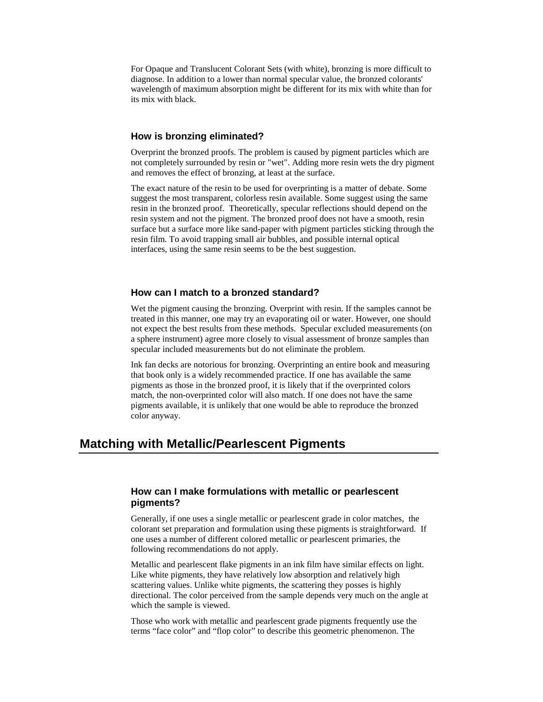For Opaque and Translucent Colorant Sets (with white), bronzing is more difficult to diagnose. In addition to a lower than normal specular value, the bronzed colorants' wavelength of maximum absorption might be different for its mix with white than for its mix with black.

#### **How is bronzing eliminated?**

Overprint the bronzed proofs. The problem is caused by pigment particles which are not completely surrounded by resin or "wet". Adding more resin wets the dry pigment and removes the effect of bronzing, at least at the surface.

The exact nature of the resin to be used for overprinting is a matter of debate. Some suggest the most transparent, colorless resin available. Some suggest using the same resin in the bronzed proof. Theoretically, specular reflections should depend on the resin system and not the pigment. The bronzed proof does not have a smooth, resin surface but a surface more like sand-paper with pigment particles sticking through the resin film. To avoid trapping small air bubbles, and possible internal optical interfaces, using the same resin seems to be the best suggestion.

#### **How can I match to a bronzed standard?**

Wet the pigment causing the bronzing. Overprint with resin. If the samples cannot be treated in this manner, one may try an evaporating oil or water. However, one should not expect the best results from these methods. Specular excluded measurements (on a sphere instrument) agree more closely to visual assessment of bronze samples than specular included measurements but do not eliminate the problem.

Ink fan decks are notorious for bronzing. Overprinting an entire book and measuring that book only is a widely recommended practice. If one has available the same pigments as those in the bronzed proof, it is likely that if the overprinted colors match, the non-overprinted color will also match. If one does not have the same pigments available, it is unlikely that one would be able to reproduce the bronzed color anyway.

## **Matching with Metallic/Pearlescent Pigments**

#### **How can I make formulations with metallic or pearlescent pigments?**

Generally, if one uses a single metallic or pearlescent grade in color matches, the colorant set preparation and formulation using these pigments is straightforward. If one uses a number of different colored metallic or pearlescent primaries, the following recommendations do not apply.

Metallic and pearlescent flake pigments in an ink film have similar effects on light. Like white pigments, they have relatively low absorption and relatively high scattering values. Unlike white pigments, the scattering they posses is highly directional. The color perceived from the sample depends very much on the angle at which the sample is viewed.

Those who work with metallic and pearlescent grade pigments frequently use the terms "face color" and "flop color" to describe this geometric phenomenon. The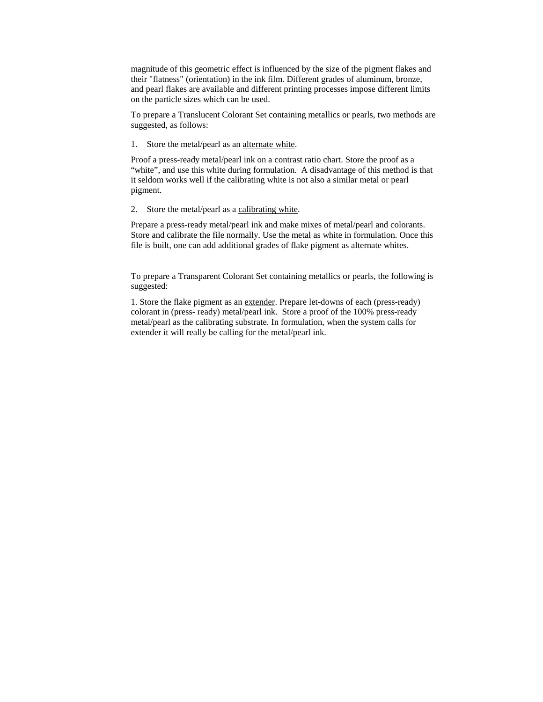magnitude of this geometric effect is influenced by the size of the pigment flakes and their "flatness" (orientation) in the ink film. Different grades of aluminum, bronze, and pearl flakes are available and different printing processes impose different limits on the particle sizes which can be used.

To prepare a Translucent Colorant Set containing metallics or pearls, two methods are suggested, as follows:

1. Store the metal/pearl as an alternate white.

Proof a press-ready metal/pearl ink on a contrast ratio chart. Store the proof as a "white", and use this white during formulation. A disadvantage of this method is that it seldom works well if the calibrating white is not also a similar metal or pearl pigment.

2. Store the metal/pearl as a calibrating white.

Prepare a press-ready metal/pearl ink and make mixes of metal/pearl and colorants. Store and calibrate the file normally. Use the metal as white in formulation. Once this file is built, one can add additional grades of flake pigment as alternate whites.

To prepare a Transparent Colorant Set containing metallics or pearls, the following is suggested:

1. Store the flake pigment as an extender. Prepare let-downs of each (press-ready) colorant in (press- ready) metal/pearl ink. Store a proof of the 100% press-ready metal/pearl as the calibrating substrate. In formulation, when the system calls for extender it will really be calling for the metal/pearl ink.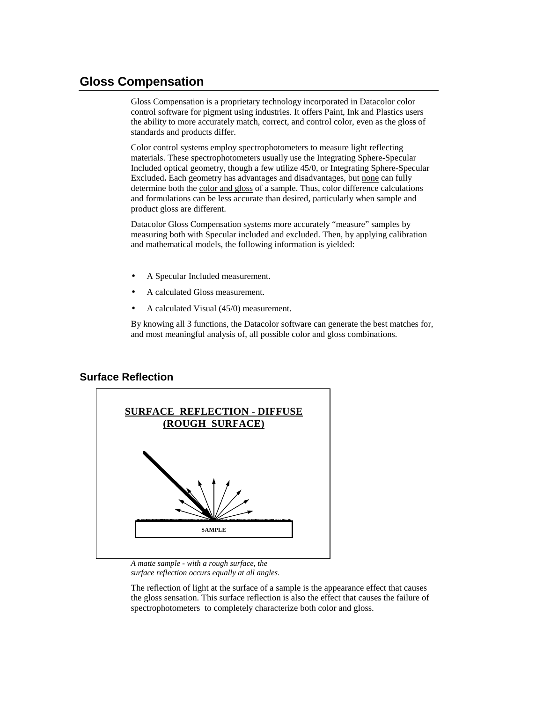## **Gloss Compensation**

Gloss Compensation is a proprietary technology incorporated in Datacolor color control software for pigment using industries. It offers Paint, Ink and Plastics users the ability to more accurately match, correct, and control color, even as the glos**s** of standards and products differ.

Color control systems employ spectrophotometers to measure light reflecting materials. These spectrophotometers usually use the Integrating Sphere-Specular Included optical geometry, though a few utilize 45/0, or Integrating Sphere-Specular Excluded**.** Each geometry has advantages and disadvantages, but none can fully determine both the color and gloss of a sample. Thus, color difference calculations and formulations can be less accurate than desired, particularly when sample and product gloss are different.

Datacolor Gloss Compensation systems more accurately "measure" samples by measuring both with Specular included and excluded. Then, by applying calibration and mathematical models, the following information is yielded:

- A Specular Included measurement.
- A calculated Gloss measurement.
- A calculated Visual (45/0) measurement.

By knowing all 3 functions, the Datacolor software can generate the best matches for, and most meaningful analysis of, all possible color and gloss combinations.

### **Surface Reflection**



*A matte sample - with a rough surface, the surface reflection occurs equally at all angles.* 

The reflection of light at the surface of a sample is the appearance effect that causes the gloss sensation. This surface reflection is also the effect that causes the failure of spectrophotometers to completely characterize both color and gloss.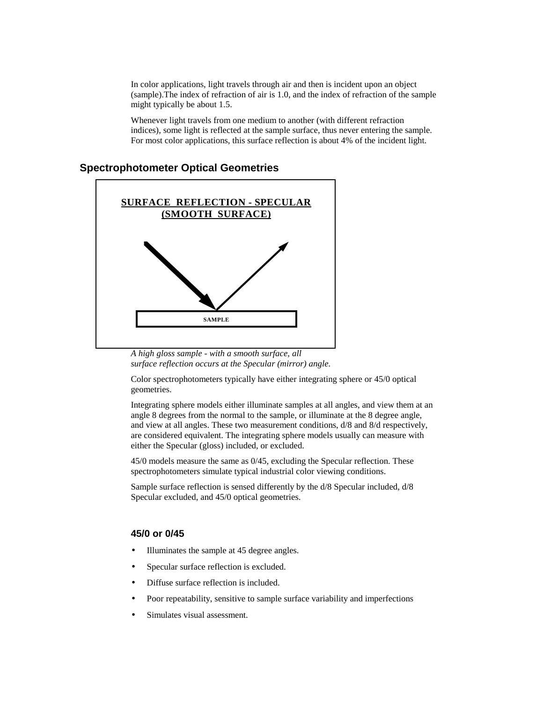In color applications, light travels through air and then is incident upon an object (sample).The index of refraction of air is 1.0, and the index of refraction of the sample might typically be about 1.5.

Whenever light travels from one medium to another (with different refraction indices), some light is reflected at the sample surface, thus never entering the sample. For most color applications, this surface reflection is about 4% of the incident light.

### **Spectrophotometer Optical Geometries**



*A high gloss sample - with a smooth surface, all surface reflection occurs at the Specular (mirror) angle.* 

Color spectrophotometers typically have either integrating sphere or 45/0 optical geometries.

Integrating sphere models either illuminate samples at all angles, and view them at an angle 8 degrees from the normal to the sample, or illuminate at the 8 degree angle, and view at all angles. These two measurement conditions, d/8 and 8/d respectively, are considered equivalent. The integrating sphere models usually can measure with either the Specular (gloss) included, or excluded.

45/0 models measure the same as 0/45, excluding the Specular reflection. These spectrophotometers simulate typical industrial color viewing conditions.

Sample surface reflection is sensed differently by the d/8 Specular included, d/8 Specular excluded, and 45/0 optical geometries.

#### **45/0 or 0/45**

- Illuminates the sample at 45 degree angles.
- Specular surface reflection is excluded.
- Diffuse surface reflection is included.
- Poor repeatability, sensitive to sample surface variability and imperfections
- Simulates visual assessment.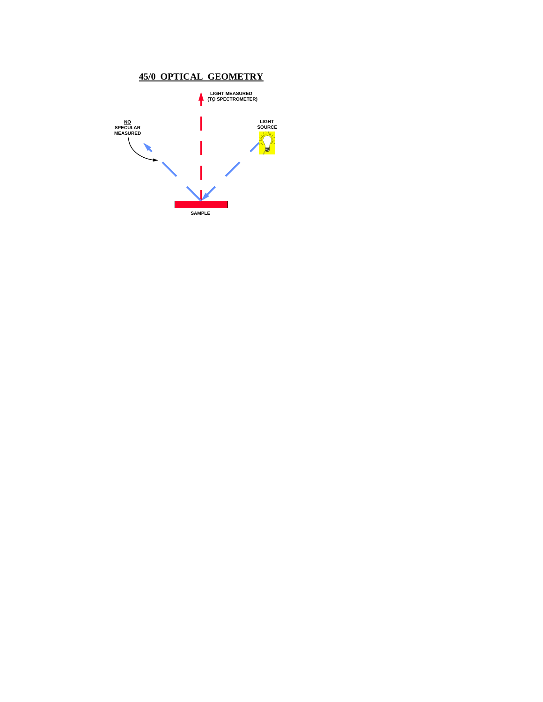

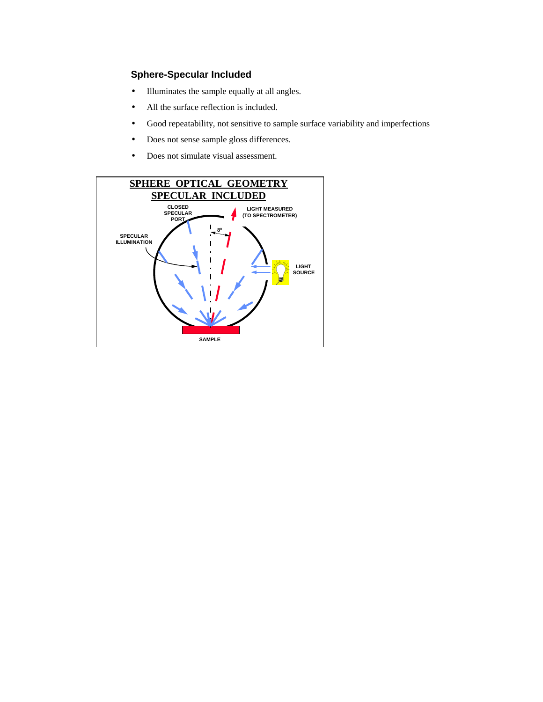### **Sphere-Specular Included**

- Illuminates the sample equally at all angles.
- All the surface reflection is included.
- Good repeatability, not sensitive to sample surface variability and imperfections
- Does not sense sample gloss differences.
- Does not simulate visual assessment.

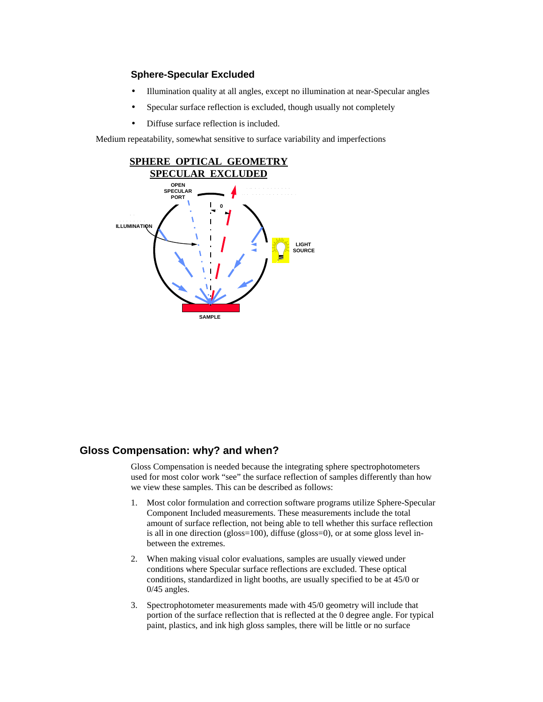#### **Sphere-Specular Excluded**

- Illumination quality at all angles, except no illumination at near-Specular angles
- Specular surface reflection is excluded, though usually not completely
- Diffuse surface reflection is included.

Medium repeatability, somewhat sensitive to surface variability and imperfections



### **Gloss Compensation: why? and when?**

Gloss Compensation is needed because the integrating sphere spectrophotometers used for most color work "see" the surface reflection of samples differently than how we view these samples. This can be described as follows:

- 1. Most color formulation and correction software programs utilize Sphere-Specular Component Included measurements. These measurements include the total amount of surface reflection, not being able to tell whether this surface reflection is all in one direction (gloss=100), diffuse (gloss=0), or at some gloss level inbetween the extremes.
- 2. When making visual color evaluations, samples are usually viewed under conditions where Specular surface reflections are excluded. These optical conditions, standardized in light booths, are usually specified to be at 45/0 or 0/45 angles.
- 3. Spectrophotometer measurements made with 45/0 geometry will include that portion of the surface reflection that is reflected at the 0 degree angle. For typical paint, plastics, and ink high gloss samples, there will be little or no surface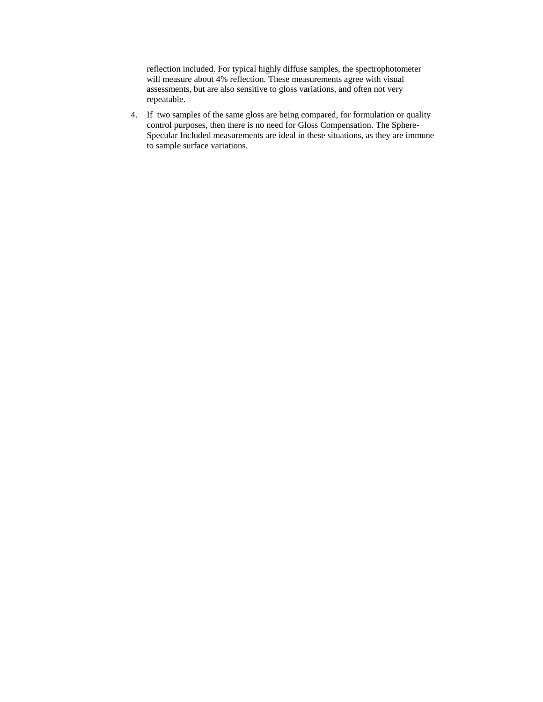reflection included. For typical highly diffuse samples, the spectrophotometer will measure about 4% reflection. These measurements agree with visual assessments, but are also sensitive to gloss variations, and often not very repeatable.

4. If two samples of the same gloss are being compared, for formulation or quality control purposes, then there is no need for Gloss Compensation. The Sphere-Specular Included measurements are ideal in these situations, as they are immune to sample surface variations.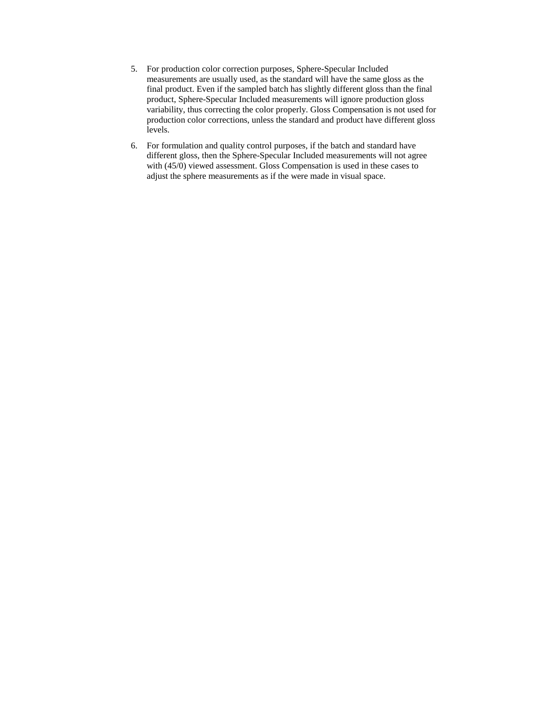- 5. For production color correction purposes, Sphere-Specular Included measurements are usually used, as the standard will have the same gloss as the final product. Even if the sampled batch has slightly different gloss than the final product, Sphere-Specular Included measurements will ignore production gloss variability, thus correcting the color properly. Gloss Compensation is not used for production color corrections, unless the standard and product have different gloss levels.
- 6. For formulation and quality control purposes, if the batch and standard have different gloss, then the Sphere-Specular Included measurements will not agree with (45/0) viewed assessment. Gloss Compensation is used in these cases to adjust the sphere measurements as if the were made in visual space.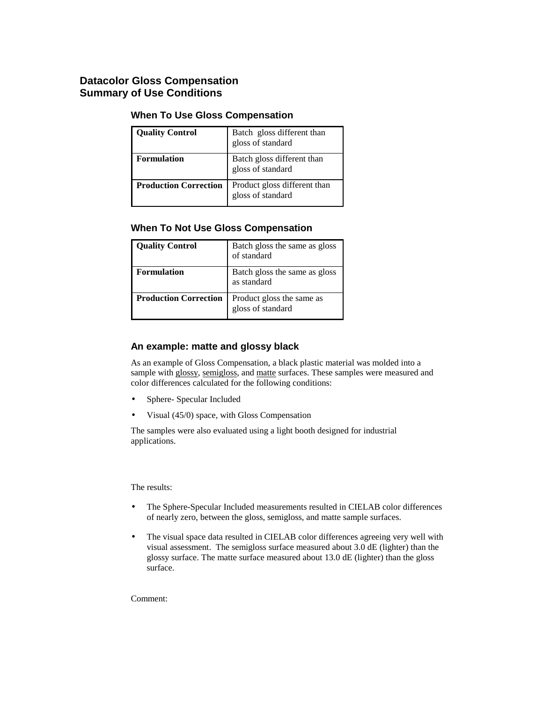## **Datacolor Gloss Compensation Summary of Use Conditions**

### **When To Use Gloss Compensation**

| <b>Quality Control</b>       | Batch gloss different than<br>gloss of standard   |
|------------------------------|---------------------------------------------------|
| <b>Formulation</b>           | Batch gloss different than<br>gloss of standard   |
| <b>Production Correction</b> | Product gloss different than<br>gloss of standard |

#### **When To Not Use Gloss Compensation**

| <b>Quality Control</b>       | Batch gloss the same as gloss<br>of standard   |
|------------------------------|------------------------------------------------|
| <b>Formulation</b>           | Batch gloss the same as gloss<br>as standard   |
| <b>Production Correction</b> | Product gloss the same as<br>gloss of standard |

#### **An example: matte and glossy black**

As an example of Gloss Compensation, a black plastic material was molded into a sample with glossy, semigloss, and matte surfaces. These samples were measured and color differences calculated for the following conditions:

- Sphere- Specular Included
- Visual (45/0) space, with Gloss Compensation

The samples were also evaluated using a light booth designed for industrial applications.

The results:

- The Sphere-Specular Included measurements resulted in CIELAB color differences of nearly zero, between the gloss, semigloss, and matte sample surfaces.
- The visual space data resulted in CIELAB color differences agreeing very well with visual assessment. The semigloss surface measured about 3.0 dE (lighter) than the glossy surface. The matte surface measured about 13.0 dE (lighter) than the gloss surface.

Comment: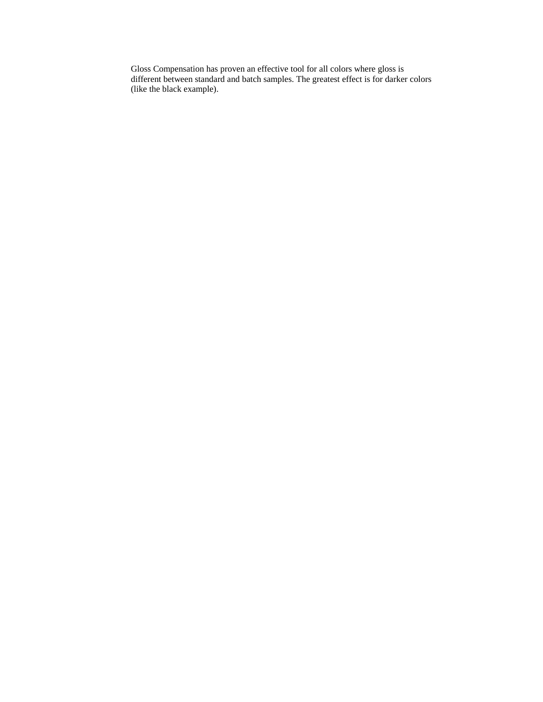Gloss Compensation has proven an effective tool for all colors where gloss is different between standard and batch samples. The greatest effect is for darker colors (like the black example).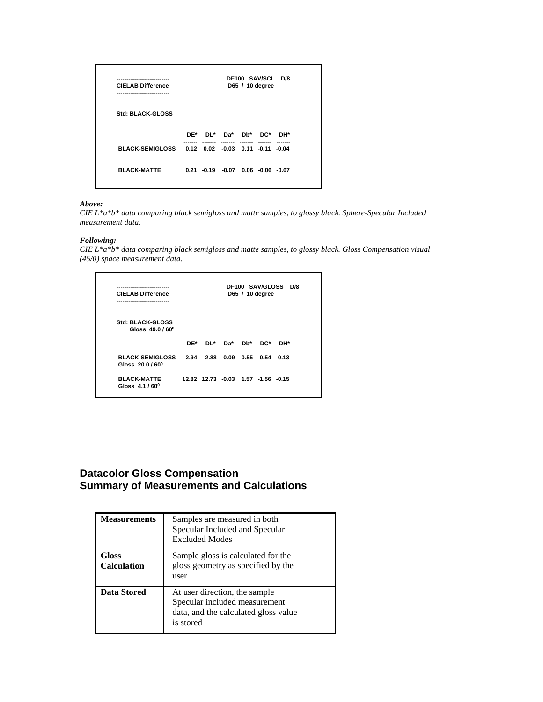| <b>CIELAB Difference</b><br>------------------------   |  |                                           | DF100 SAV/SCI D/8<br>D65 / 10 degree |  |
|--------------------------------------------------------|--|-------------------------------------------|--------------------------------------|--|
| Std: BLACK-GLOSS                                       |  |                                           |                                      |  |
|                                                        |  | DE* DL* Da* Db* DC* DH*                   |                                      |  |
| BLACK-SEMIGLOSS  0.12  0.02  -0.03  0.11  -0.11  -0.04 |  |                                           |                                      |  |
| <b>BLACK-MATTE</b>                                     |  | $0.21 - 0.19 - 0.07 - 0.06 - 0.06 - 0.07$ |                                      |  |
|                                                        |  |                                           |                                      |  |

#### *Above:*

*CIE L\*a\*b\* data comparing black semigloss and matte samples, to glossy black. Sphere-Specular Included measurement data.* 

#### *Following:*

*CIE L\*a\*b\* data comparing black semigloss and matte samples, to glossy black. Gloss Compensation visual (45/0) space measurement data.* 

| ---------------------<br><b>CIELAB Difference</b><br> |                                    |  | D65 / 10 degree | DF100 SAV/GLOSS D/8 |  |
|-------------------------------------------------------|------------------------------------|--|-----------------|---------------------|--|
| <b>Std: BLACK-GLOSS</b><br>Gloss 49.0/60 <sup>0</sup> |                                    |  |                 |                     |  |
|                                                       | $DE^*$ $DL^*$ $Da^*$ $Db^*$        |  | DC*             | DH*                 |  |
| <b>BLACK-SEMIGLOSS</b><br>Gloss 20.0/60 <sup>0</sup>  | 2.94 2.88 -0.09 0.55 -0.54 -0.13   |  |                 |                     |  |
| <b>BLACK-MATTE</b><br>Gloss $4.1/60^{\circ}$          | 12.82 12.73 -0.03 1.57 -1.56 -0.15 |  |                 |                     |  |

## **Datacolor Gloss Compensation Summary of Measurements and Calculations**

| <b>Measurements</b>         | Samples are measured in both<br>Specular Included and Specular<br><b>Excluded Modes</b>                             |
|-----------------------------|---------------------------------------------------------------------------------------------------------------------|
| Gloss<br><b>Calculation</b> | Sample gloss is calculated for the<br>gloss geometry as specified by the<br>user                                    |
| Data Stored                 | At user direction, the sample<br>Specular included measurement<br>data, and the calculated gloss value<br>is stored |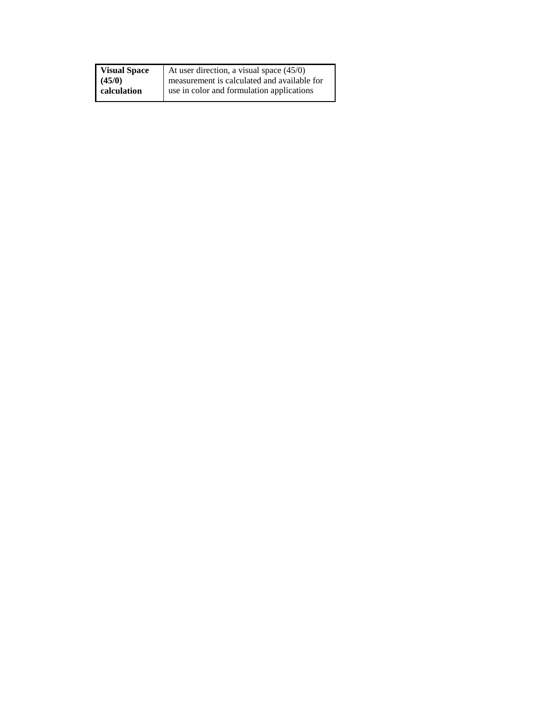| <b>Visual Space</b> | At user direction, a visual space (45/0)    |
|---------------------|---------------------------------------------|
| (45/0)              | measurement is calculated and available for |
| calculation         | use in color and formulation applications   |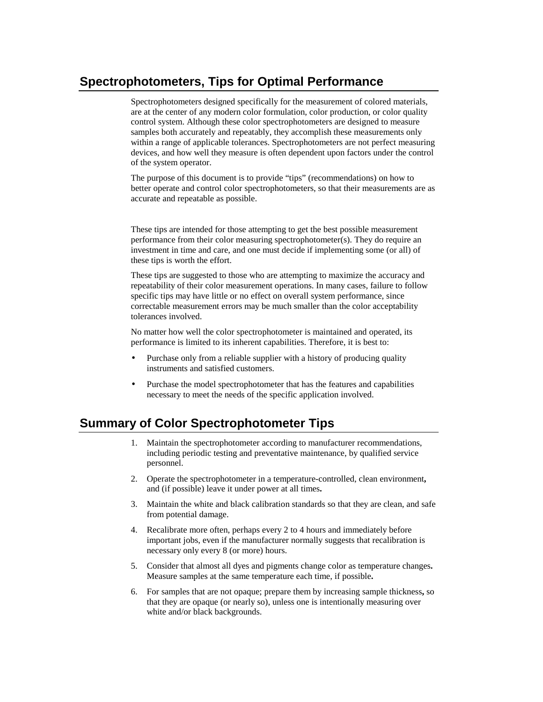## **Spectrophotometers, Tips for Optimal Performance**

Spectrophotometers designed specifically for the measurement of colored materials, are at the center of any modern color formulation, color production, or color quality control system. Although these color spectrophotometers are designed to measure samples both accurately and repeatably, they accomplish these measurements only within a range of applicable tolerances. Spectrophotometers are not perfect measuring devices, and how well they measure is often dependent upon factors under the control of the system operator.

The purpose of this document is to provide "tips" (recommendations) on how to better operate and control color spectrophotometers, so that their measurements are as accurate and repeatable as possible.

These tips are intended for those attempting to get the best possible measurement performance from their color measuring spectrophotometer(s). They do require an investment in time and care, and one must decide if implementing some (or all) of these tips is worth the effort.

These tips are suggested to those who are attempting to maximize the accuracy and repeatability of their color measurement operations. In many cases, failure to follow specific tips may have little or no effect on overall system performance, since correctable measurement errors may be much smaller than the color acceptability tolerances involved.

No matter how well the color spectrophotometer is maintained and operated, its performance is limited to its inherent capabilities. Therefore, it is best to:

- Purchase only from a reliable supplier with a history of producing quality instruments and satisfied customers.
- Purchase the model spectrophotometer that has the features and capabilities necessary to meet the needs of the specific application involved.

## **Summary of Color Spectrophotometer Tips**

- 1. Maintain the spectrophotometer according to manufacturer recommendations, including periodic testing and preventative maintenance, by qualified service personnel.
- 2. Operate the spectrophotometer in a temperature-controlled, clean environment**,**  and (if possible) leave it under power at all times**.**
- 3. Maintain the white and black calibration standards so that they are clean, and safe from potential damage.
- 4. Recalibrate more often, perhaps every 2 to 4 hours and immediately before important jobs, even if the manufacturer normally suggests that recalibration is necessary only every 8 (or more) hours.
- 5. Consider that almost all dyes and pigments change color as temperature changes**.**  Measure samples at the same temperature each time, if possible**.**
- 6. For samples that are not opaque; prepare them by increasing sample thickness**,** so that they are opaque (or nearly so), unless one is intentionally measuring over white and/or black backgrounds.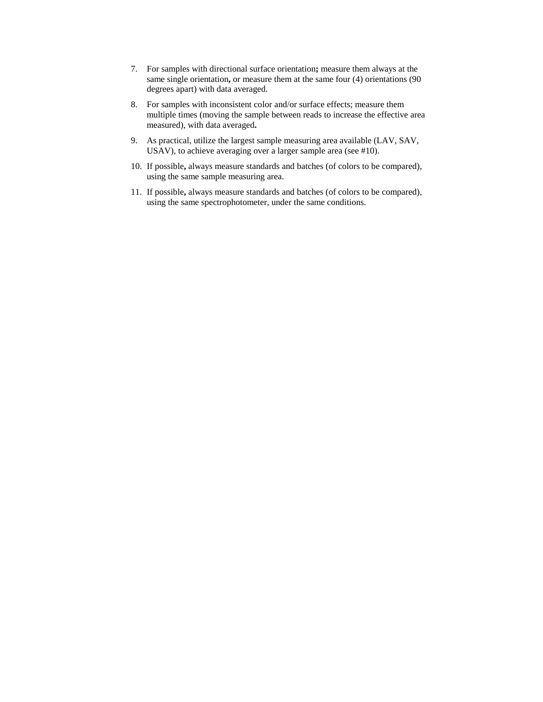- 7. For samples with directional surface orientation**;** measure them always at the same single orientation**,** or measure them at the same four (4) orientations (90 degrees apart) with data averaged.
- 8. For samples with inconsistent color and/or surface effects; measure them multiple times (moving the sample between reads to increase the effective area measured), with data averaged**.**
- 9. As practical, utilize the largest sample measuring area available (LAV, SAV, USAV), to achieve averaging over a larger sample area (see #10).
- 10. If possible**,** always measure standards and batches (of colors to be compared), using the same sample measuring area.
- 11. If possible**,** always measure standards and batches (of colors to be compared), using the same spectrophotometer, under the same conditions.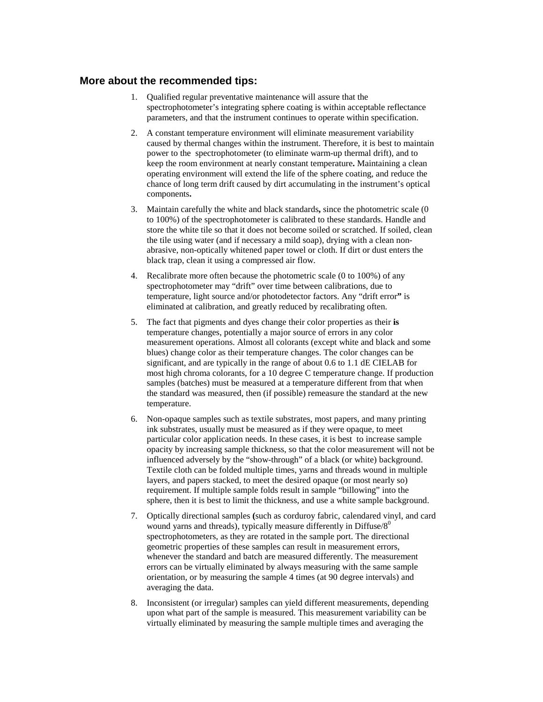### **More about the recommended tips:**

- 1. Qualified regular preventative maintenance will assure that the spectrophotometer's integrating sphere coating is within acceptable reflectance parameters, and that the instrument continues to operate within specification.
- 2. A constant temperature environment will eliminate measurement variability caused by thermal changes within the instrument. Therefore, it is best to maintain power to the spectrophotometer (to eliminate warm-up thermal drift), and to keep the room environment at nearly constant temperature**.** Maintaining a clean operating environment will extend the life of the sphere coating, and reduce the chance of long term drift caused by dirt accumulating in the instrument's optical components**.**
- 3. Maintain carefully the white and black standards**,** since the photometric scale (0 to 100%) of the spectrophotometer is calibrated to these standards. Handle and store the white tile so that it does not become soiled or scratched. If soiled, clean the tile using water (and if necessary a mild soap), drying with a clean nonabrasive, non-optically whitened paper towel or cloth. If dirt or dust enters the black trap, clean it using a compressed air flow.
- 4. Recalibrate more often because the photometric scale (0 to 100%) of any spectrophotometer may "drift" over time between calibrations, due to temperature, light source and/or photodetector factors. Any "drift error**"** is eliminated at calibration, and greatly reduced by recalibrating often.
- 5. The fact that pigments and dyes change their color properties as their **is**  temperature changes, potentially a major source of errors in any color measurement operations. Almost all colorants (except white and black and some blues) change color as their temperature changes. The color changes can be significant, and are typically in the range of about 0.6 to 1.1 dE CIELAB for most high chroma colorants, for a 10 degree C temperature change. If production samples (batches) must be measured at a temperature different from that when the standard was measured, then (if possible) remeasure the standard at the new temperature.
- 6. Non-opaque samples such as textile substrates, most papers, and many printing ink substrates, usually must be measured as if they were opaque, to meet particular color application needs. In these cases, it is best to increase sample opacity by increasing sample thickness, so that the color measurement will not be influenced adversely by the "show-through" of a black (or white) background. Textile cloth can be folded multiple times, yarns and threads wound in multiple layers, and papers stacked, to meet the desired opaque (or most nearly so) requirement. If multiple sample folds result in sample "billowing" into the sphere, then it is best to limit the thickness, and use a white sample background.
- 7. Optically directional samples **(**such as corduroy fabric, calendared vinyl, and card wound yarns and threads), typically measure differently in Diffuse/ $8^0$ spectrophotometers, as they are rotated in the sample port. The directional geometric properties of these samples can result in measurement errors, whenever the standard and batch are measured differently. The measurement errors can be virtually eliminated by always measuring with the same sample orientation, or by measuring the sample 4 times (at 90 degree intervals) and averaging the data.
- 8. Inconsistent (or irregular) samples can yield different measurements, depending upon what part of the sample is measured. This measurement variability can be virtually eliminated by measuring the sample multiple times and averaging the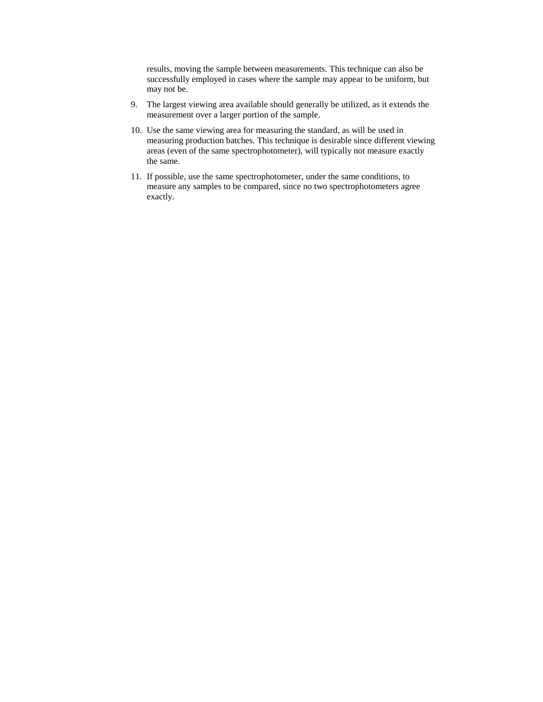results, moving the sample between measurements. This technique can also be successfully employed in cases where the sample may appear to be uniform, but may not be.

- 9. The largest viewing area available should generally be utilized, as it extends the measurement over a larger portion of the sample.
- 10. Use the same viewing area for measuring the standard, as will be used in measuring production batches. This technique is desirable since different viewing areas (even of the same spectrophotometer), will typically not measure exactly the same.
- 11. If possible, use the same spectrophotometer, under the same conditions, to measure any samples to be compared, since no two spectrophotometers agree exactly.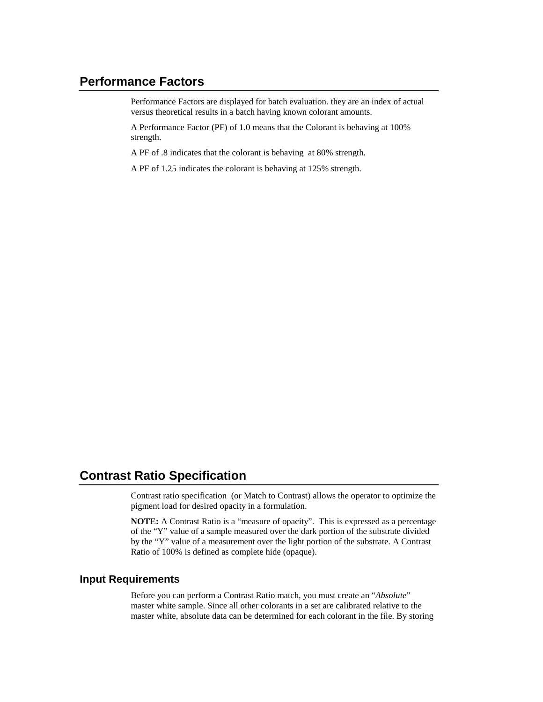## **Performance Factors**

Performance Factors are displayed for batch evaluation. they are an index of actual versus theoretical results in a batch having known colorant amounts.

A Performance Factor (PF) of 1.0 means that the Colorant is behaving at 100% strength.

A PF of .8 indicates that the colorant is behaving at 80% strength.

A PF of 1.25 indicates the colorant is behaving at 125% strength.

# **Contrast Ratio Specification**

Contrast ratio specification (or Match to Contrast) allows the operator to optimize the pigment load for desired opacity in a formulation.

**NOTE:** A Contrast Ratio is a "measure of opacity". This is expressed as a percentage of the "Y" value of a sample measured over the dark portion of the substrate divided by the "Y" value of a measurement over the light portion of the substrate. A Contrast Ratio of 100% is defined as complete hide (opaque).

#### **Input Requirements**

Before you can perform a Contrast Ratio match, you must create an "*Absolute*" master white sample. Since all other colorants in a set are calibrated relative to the master white, absolute data can be determined for each colorant in the file. By storing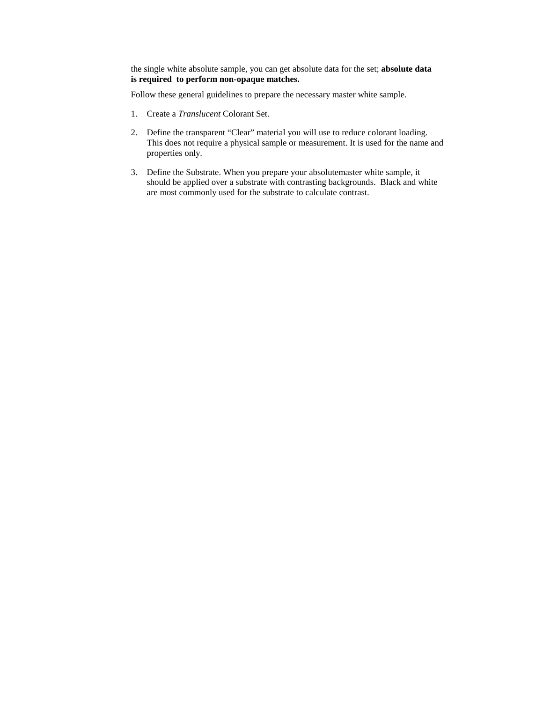the single white absolute sample, you can get absolute data for the set; **absolute data is required to perform non-opaque matches.** 

Follow these general guidelines to prepare the necessary master white sample.

- 1. Create a *Translucent* Colorant Set.
- 2. Define the transparent "Clear" material you will use to reduce colorant loading. This does not require a physical sample or measurement. It is used for the name and properties only.
- 3. Define the Substrate. When you prepare your absolutemaster white sample, it should be applied over a substrate with contrasting backgrounds. Black and white are most commonly used for the substrate to calculate contrast.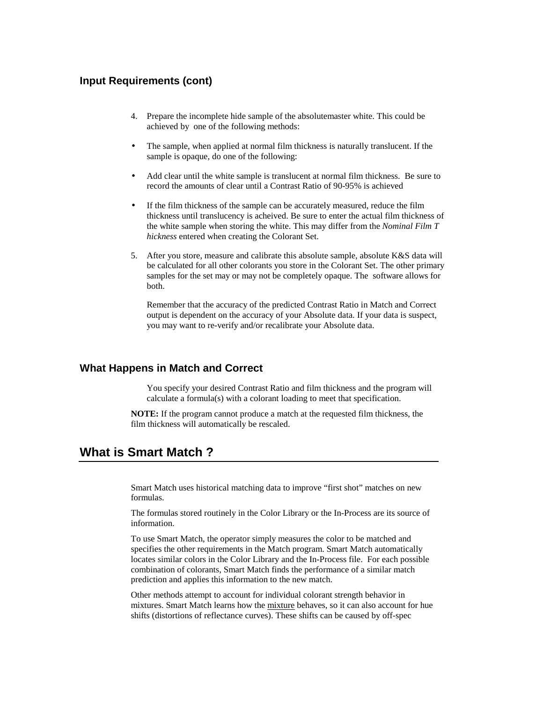### **Input Requirements (cont)**

- 4. Prepare the incomplete hide sample of the absolutemaster white. This could be achieved by one of the following methods:
- The sample, when applied at normal film thickness is naturally translucent. If the sample is opaque, do one of the following:
- Add clear until the white sample is translucent at normal film thickness. Be sure to record the amounts of clear until a Contrast Ratio of 90-95% is achieved
- If the film thickness of the sample can be accurately measured, reduce the film thickness until translucency is acheived. Be sure to enter the actual film thickness of the white sample when storing the white. This may differ from the *Nominal Film T hickness* entered when creating the Colorant Set.
- 5. After you store, measure and calibrate this absolute sample, absolute K&S data will be calculated for all other colorants you store in the Colorant Set. The other primary samples for the set may or may not be completely opaque. The software allows for both.

 Remember that the accuracy of the predicted Contrast Ratio in Match and Correct output is dependent on the accuracy of your Absolute data. If your data is suspect, you may want to re-verify and/or recalibrate your Absolute data.

#### **What Happens in Match and Correct**

 You specify your desired Contrast Ratio and film thickness and the program will calculate a formula(s) with a colorant loading to meet that specification.

**NOTE:** If the program cannot produce a match at the requested film thickness, the film thickness will automatically be rescaled.

## **What is Smart Match ?**

Smart Match uses historical matching data to improve "first shot" matches on new formulas.

The formulas stored routinely in the Color Library or the In-Process are its source of information.

To use Smart Match, the operator simply measures the color to be matched and specifies the other requirements in the Match program. Smart Match automatically locates similar colors in the Color Library and the In-Process file. For each possible combination of colorants, Smart Match finds the performance of a similar match prediction and applies this information to the new match.

Other methods attempt to account for individual colorant strength behavior in mixtures. Smart Match learns how the mixture behaves, so it can also account for hue shifts (distortions of reflectance curves). These shifts can be caused by off-spec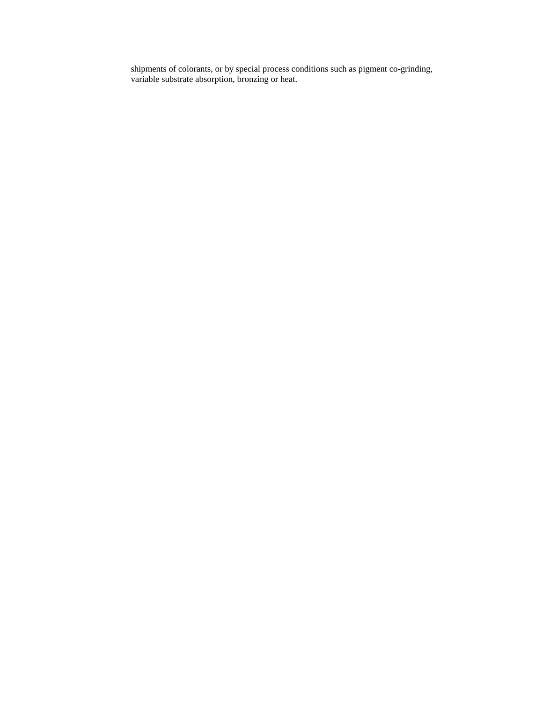shipments of colorants, or by special process conditions such as pigment co-grinding, variable substrate absorption, bronzing or heat.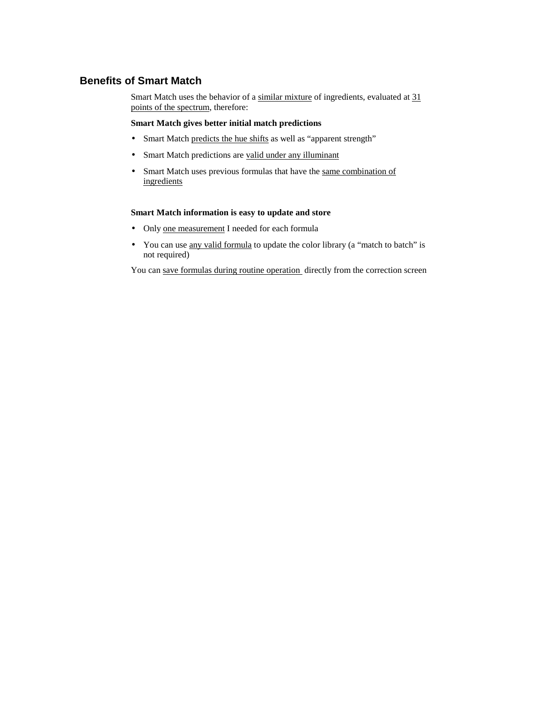### **Benefits of Smart Match**

Smart Match uses the behavior of a similar mixture of ingredients, evaluated at 31 points of the spectrum, therefore:

#### **Smart Match gives better initial match predictions**

- Smart Match predicts the hue shifts as well as "apparent strength"
- Smart Match predictions are valid under any illuminant
- Smart Match uses previous formulas that have the same combination of ingredients

#### **Smart Match information is easy to update and store**

- Only one measurement I needed for each formula
- You can use <u>any valid formula</u> to update the color library (a "match to batch" is not required)

You can save formulas during routine operation directly from the correction screen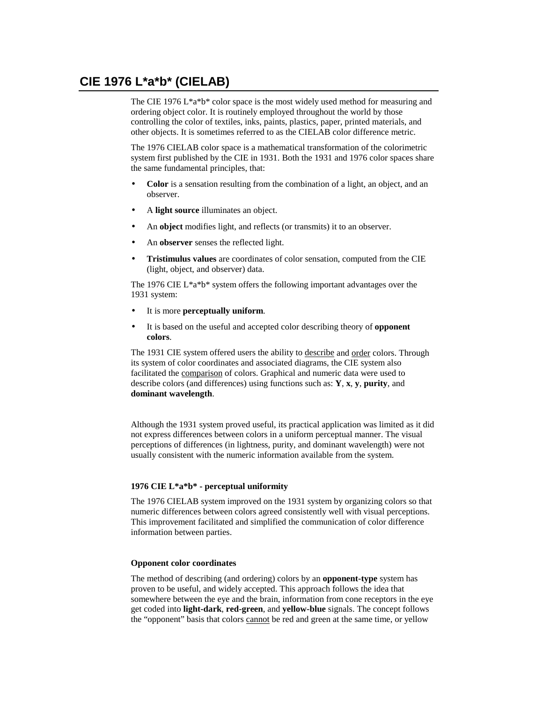## **CIE 1976 L\*a\*b\* (CIELAB)**

The CIE 1976 L\*a\*b\* color space is the most widely used method for measuring and ordering object color. It is routinely employed throughout the world by those controlling the color of textiles, inks, paints, plastics, paper, printed materials, and other objects. It is sometimes referred to as the CIELAB color difference metric.

The 1976 CIELAB color space is a mathematical transformation of the colorimetric system first published by the CIE in 1931. Both the 1931 and 1976 color spaces share the same fundamental principles, that:

- **Color** is a sensation resulting from the combination of a light, an object, and an observer.
- A **light source** illuminates an object.
- An **object** modifies light, and reflects (or transmits) it to an observer.
- An **observer** senses the reflected light.
- **Tristimulus values** are coordinates of color sensation, computed from the CIE (light, object, and observer) data.

The 1976 CIE L\*a\*b\* system offers the following important advantages over the 1931 system:

- It is more **perceptually uniform**.
- It is based on the useful and accepted color describing theory of **opponent colors**.

The 1931 CIE system offered users the ability to describe and order colors. Through its system of color coordinates and associated diagrams, the CIE system also facilitated the comparison of colors. Graphical and numeric data were used to describe colors (and differences) using functions such as: **Y**, **x**, **y**, **purity**, and **dominant wavelength**.

Although the 1931 system proved useful, its practical application was limited as it did not express differences between colors in a uniform perceptual manner. The visual perceptions of differences (in lightness, purity, and dominant wavelength) were not usually consistent with the numeric information available from the system.

#### **1976 CIE L\*a\*b\* - perceptual uniformity**

The 1976 CIELAB system improved on the 1931 system by organizing colors so that numeric differences between colors agreed consistently well with visual perceptions. This improvement facilitated and simplified the communication of color difference information between parties.

#### **Opponent color coordinates**

The method of describing (and ordering) colors by an **opponent-type** system has proven to be useful, and widely accepted. This approach follows the idea that somewhere between the eye and the brain, information from cone receptors in the eye get coded into **light-dark**, **red-green**, and **yellow-blue** signals. The concept follows the "opponent" basis that colors cannot be red and green at the same time, or yellow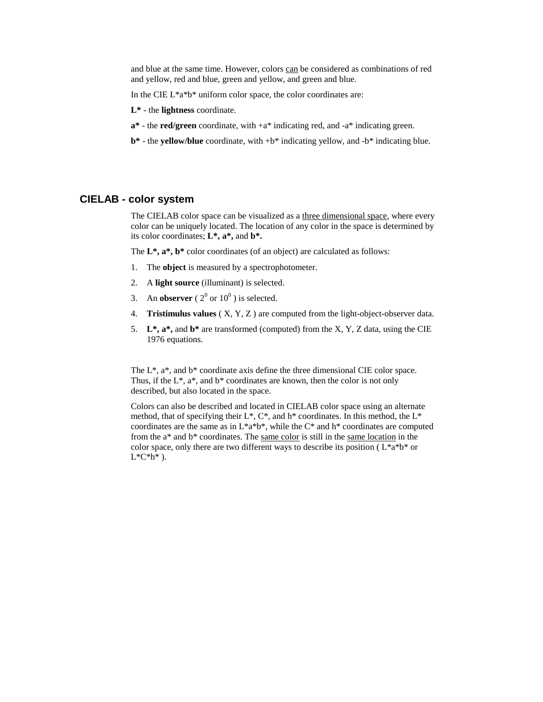and blue at the same time. However, colors can be considered as combinations of red and yellow, red and blue, green and yellow, and green and blue.

In the CIE L\*a\*b\* uniform color space, the color coordinates are:

**L\*** - the **lightness** coordinate.

- **a\*** the **red/green** coordinate, with +a\* indicating red, and -a\* indicating green.
- **b\*** the **yellow/blue** coordinate, with +b\* indicating yellow, and -b\* indicating blue.

#### **CIELAB - color system**

The CIELAB color space can be visualized as a three dimensional space, where every color can be uniquely located. The location of any color in the space is determined by its color coordinates; **L\*, a\*,** and **b\*.**

The **L\*, a\*, b\*** color coordinates (of an object) are calculated as follows:

- 1. The **object** is measured by a spectrophotometer.
- 2. A **light source** (illuminant) is selected.
- 3. An **observer**  $(2^0 \text{ or } 10^0)$  is selected.
- 4. **Tristimulus values** ( X, Y, Z ) are computed from the light-object-observer data.
- 5. **L\*, a\*,** and **b\*** are transformed (computed) from the X, Y, Z data, using the CIE 1976 equations.

The  $L^*$ ,  $a^*$ , and  $b^*$  coordinate axis define the three dimensional CIE color space. Thus, if the  $L^*$ ,  $a^*$ , and  $b^*$  coordinates are known, then the color is not only described, but also located in the space.

Colors can also be described and located in CIELAB color space using an alternate method, that of specifying their  $L^*$ ,  $C^*$ , and  $h^*$  coordinates. In this method, the  $L^*$ coordinates are the same as in L\*a\*b\*, while the C\* and h\* coordinates are computed from the a\* and b\* coordinates. The same color is still in the same location in the color space, only there are two different ways to describe its position ( $L^*a^*b^*$  or  $L^*C^*h^*$ ).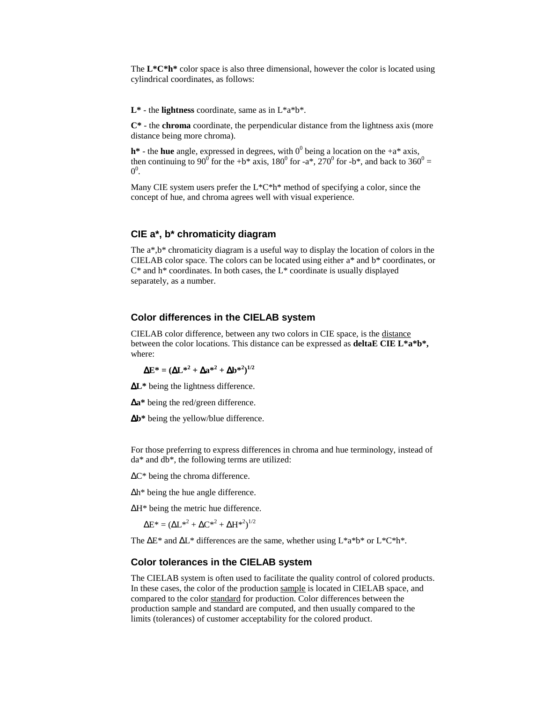The **L\*C\*h\*** color space is also three dimensional, however the color is located using cylindrical coordinates, as follows:

 $L^*$  - the **lightness** coordinate, same as in  $L^*a^*b^*$ .

**C\*** - the **chroma** coordinate, the perpendicular distance from the lightness axis (more distance being more chroma).

 $h^*$  - the **hue** angle, expressed in degrees, with  $0^0$  being a location on the  $+a^*$  axis, then continuing to 90<sup>°</sup> for the +b\* axis, 180<sup>°</sup> for -a\*, 270<sup>°</sup> for -b\*, and back to 360<sup>°</sup> =  $0^0$ .

Many CIE system users prefer the L\*C\*h\* method of specifying a color, since the concept of hue, and chroma agrees well with visual experience.

#### **CIE a\*, b\* chromaticity diagram**

The a\*,b\* chromaticity diagram is a useful way to display the location of colors in the CIELAB color space. The colors can be located using either a\* and b\* coordinates, or  $C^*$  and h<sup>\*</sup> coordinates. In both cases, the  $L^*$  coordinate is usually displayed separately, as a number.

#### **Color differences in the CIELAB system**

CIELAB color difference, between any two colors in CIE space, is the distance between the color locations. This distance can be expressed as **deltaE CIE L\*a\*b\*,** where:

$$
\Delta E^* = (\Delta L^{*2} + \Delta a^{*2} + \Delta b^{*2})^{1/2}
$$

∆**L\*** being the lightness difference.

∆**a\*** being the red/green difference.

∆**b\*** being the yellow/blue difference.

For those preferring to express differences in chroma and hue terminology, instead of da\* and db\*, the following terms are utilized:

∆C\* being the chroma difference.

∆h\* being the hue angle difference.

∆H\* being the metric hue difference.

$$
\Delta E^* = (\Delta L^{*2} + \Delta C^{*2} + \Delta H^{*2})^{1/2}
$$

The ∆E\* and ∆L\* differences are the same, whether using L\*a\*b\* or L\*C\*h\*.

#### **Color tolerances in the CIELAB system**

The CIELAB system is often used to facilitate the quality control of colored products. In these cases, the color of the production sample is located in CIELAB space, and compared to the color standard for production. Color differences between the production sample and standard are computed, and then usually compared to the limits (tolerances) of customer acceptability for the colored product.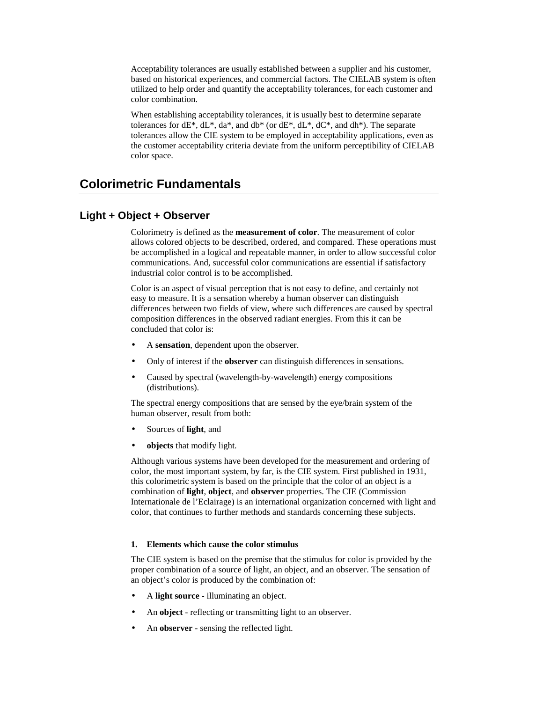Acceptability tolerances are usually established between a supplier and his customer, based on historical experiences, and commercial factors. The CIELAB system is often utilized to help order and quantify the acceptability tolerances, for each customer and color combination.

When establishing acceptability tolerances, it is usually best to determine separate tolerances for  $dE^*$ ,  $dL^*$ ,  $da^*$ , and  $db^*$  (or  $dE^*$ ,  $dL^*$ ,  $dC^*$ , and  $dh^*$ ). The separate tolerances allow the CIE system to be employed in acceptability applications, even as the customer acceptability criteria deviate from the uniform perceptibility of CIELAB color space.

## **Colorimetric Fundamentals**

#### **Light + Object + Observer**

Colorimetry is defined as the **measurement of color**. The measurement of color allows colored objects to be described, ordered, and compared. These operations must be accomplished in a logical and repeatable manner, in order to allow successful color communications. And, successful color communications are essential if satisfactory industrial color control is to be accomplished.

Color is an aspect of visual perception that is not easy to define, and certainly not easy to measure. It is a sensation whereby a human observer can distinguish differences between two fields of view, where such differences are caused by spectral composition differences in the observed radiant energies. From this it can be concluded that color is:

- A **sensation**, dependent upon the observer.
- Only of interest if the **observer** can distinguish differences in sensations.
- Caused by spectral (wavelength-by-wavelength) energy compositions (distributions).

The spectral energy compositions that are sensed by the eye/brain system of the human observer, result from both:

- Sources of **light**, and
- **objects** that modify light.

Although various systems have been developed for the measurement and ordering of color, the most important system, by far, is the CIE system. First published in 1931, this colorimetric system is based on the principle that the color of an object is a combination of **light**, **object**, and **observer** properties. The CIE (Commission Internationale de l'Eclairage) is an international organization concerned with light and color, that continues to further methods and standards concerning these subjects.

#### **1. Elements which cause the color stimulus**

The CIE system is based on the premise that the stimulus for color is provided by the proper combination of a source of light, an object, and an observer. The sensation of an object's color is produced by the combination of:

- A **light source** illuminating an object.
- An **object** reflecting or transmitting light to an observer.
- An **observer** sensing the reflected light.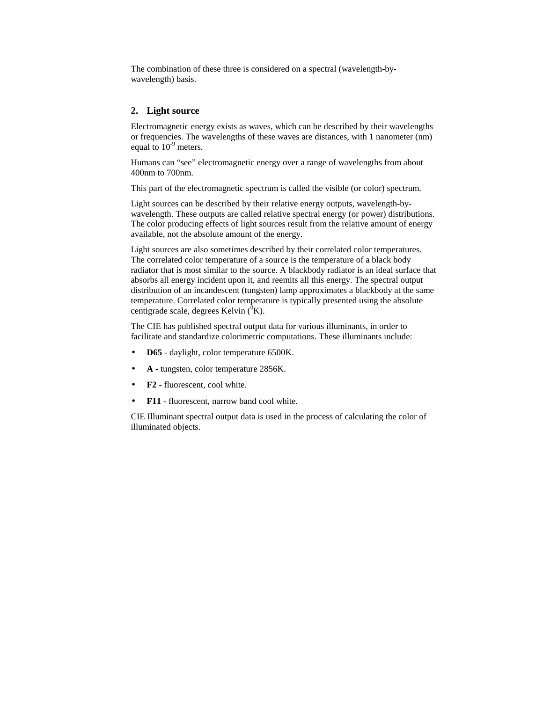The combination of these three is considered on a spectral (wavelength-bywavelength) basis.

#### **2. Light source**

Electromagnetic energy exists as waves, which can be described by their wavelengths or frequencies. The wavelengths of these waves are distances, with 1 nanometer (nm) equal to  $10^{-9}$  meters.

Humans can "see" electromagnetic energy over a range of wavelengths from about 400nm to 700nm.

This part of the electromagnetic spectrum is called the visible (or color) spectrum.

Light sources can be described by their relative energy outputs, wavelength-bywavelength. These outputs are called relative spectral energy (or power) distributions. The color producing effects of light sources result from the relative amount of energy available, not the absolute amount of the energy.

Light sources are also sometimes described by their correlated color temperatures. The correlated color temperature of a source is the temperature of a black body radiator that is most similar to the source. A blackbody radiator is an ideal surface that absorbs all energy incident upon it, and reemits all this energy. The spectral output distribution of an incandescent (tungsten) lamp approximates a blackbody at the same temperature. Correlated color temperature is typically presented using the absolute centigrade scale, degrees Kelvin  $({}^{0}K)$ .

The CIE has published spectral output data for various illuminants, in order to facilitate and standardize colorimetric computations. These illuminants include:

- **D65** daylight, color temperature 6500K.
- **A** tungsten, color temperature 2856K.
- **F2** fluorescent, cool white.
- **F11** fluorescent, narrow band cool white.

CIE Illuminant spectral output data is used in the process of calculating the color of illuminated objects.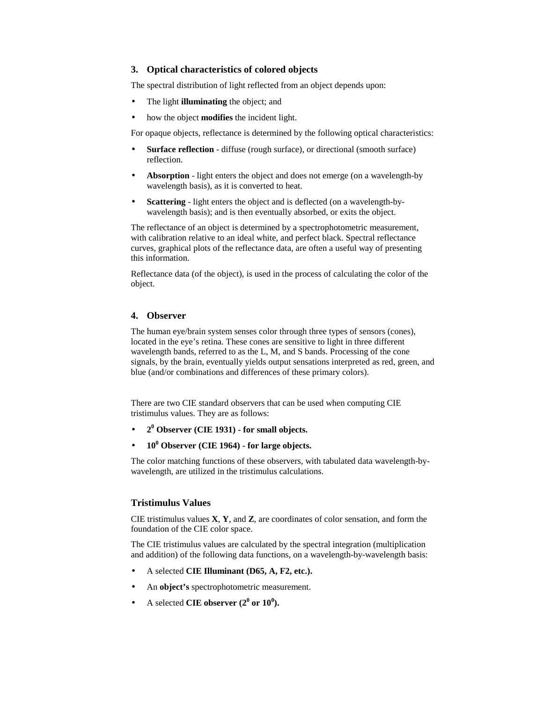#### **3. Optical characteristics of colored objects**

The spectral distribution of light reflected from an object depends upon:

- The light **illuminating** the object; and
- how the object **modifies** the incident light.

For opaque objects, reflectance is determined by the following optical characteristics:

- **Surface reflection** diffuse (rough surface), or directional (smooth surface) reflection.
- **Absorption** light enters the object and does not emerge (on a wavelength-by wavelength basis), as it is converted to heat.
- **Scattering** light enters the object and is deflected (on a wavelength-bywavelength basis); and is then eventually absorbed, or exits the object.

The reflectance of an object is determined by a spectrophotometric measurement, with calibration relative to an ideal white, and perfect black. Spectral reflectance curves, graphical plots of the reflectance data, are often a useful way of presenting this information.

Reflectance data (of the object), is used in the process of calculating the color of the object.

#### **4. Observer**

The human eye/brain system senses color through three types of sensors (cones), located in the eye's retina. These cones are sensitive to light in three different wavelength bands, referred to as the L, M, and S bands. Processing of the cone signals, by the brain, eventually yields output sensations interpreted as red, green, and blue (and/or combinations and differences of these primary colors).

There are two CIE standard observers that can be used when computing CIE tristimulus values. They are as follows:

- **2<sup>0</sup> Observer (CIE 1931) for small objects.**
- $\bullet$  **10<sup>0</sup> Observer (CIE 1964) for large objects.**

The color matching functions of these observers, with tabulated data wavelength-bywavelength, are utilized in the tristimulus calculations.

#### **Tristimulus Values**

CIE tristimulus values **X**, **Y**, and **Z**, are coordinates of color sensation, and form the foundation of the CIE color space.

The CIE tristimulus values are calculated by the spectral integration (multiplication and addition) of the following data functions, on a wavelength-by-wavelength basis:

- A selected **CIE Illuminant (D65, A, F2, etc.).**
- An **object's** spectrophotometric measurement.
- A selected **CIE** observer  $(2^0 \text{ or } 10^0)$ .